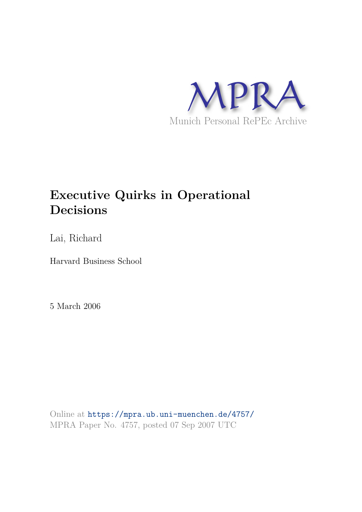

# **Executive Quirks in Operational Decisions**

Lai, Richard

Harvard Business School

5 March 2006

Online at https://mpra.ub.uni-muenchen.de/4757/ MPRA Paper No. 4757, posted 07 Sep 2007 UTC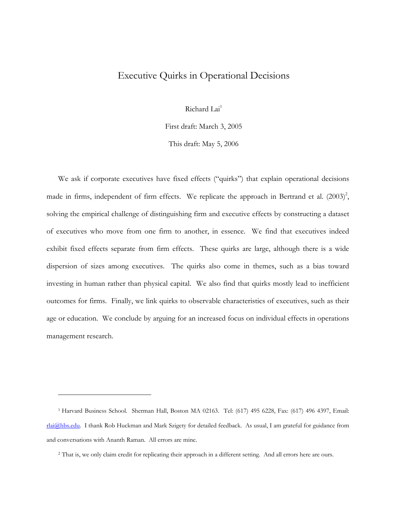# Executive Quirks in Operational Decisions

Richard Lai<sup>1</sup>

First draft: March 3, 2005

This draft: May 5, 2006

We ask if corporate executives have fixed effects ("quirks") that explain operational decisions made in firms, independent of firm effects. We replicate the approach in Bertrand et al.  $(2003)^2$ , solving the empirical challenge of distinguishing firm and executive effects by constructing a dataset of executives who move from one firm to another, in essence. We find that executives indeed exhibit fixed effects separate from firm effects. These quirks are large, although there is a wide dispersion of sizes among executives. The quirks also come in themes, such as a bias toward investing in human rather than physical capital. We also find that quirks mostly lead to inefficient outcomes for firms. Finally, we link quirks to observable characteristics of executives, such as their age or education. We conclude by arguing for an increased focus on individual effects in operations management research.

 $\overline{a}$ 

<sup>1</sup> Harvard Business School. Sherman Hall, Boston MA 02163. Tel: (617) 495 6228, Fax: (617) 496 4397, Email: rlai@hbs.edu. I thank Rob Huckman and Mark Szigety for detailed feedback. As usual, I am grateful for guidance from and conversations with Ananth Raman. All errors are mine.

<sup>2</sup> That is, we only claim credit for replicating their approach in a different setting. And all errors here are ours.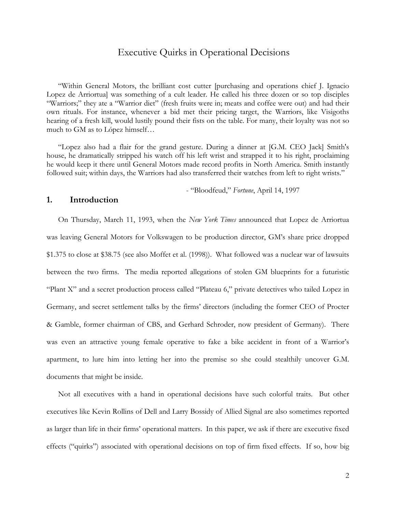# Executive Quirks in Operational Decisions

"Within General Motors, the brilliant cost cutter [purchasing and operations chief J. Ignacio Lopez de Arriortua] was something of a cult leader. He called his three dozen or so top disciples "Warriors;" they ate a "Warrior diet" (fresh fruits were in; meats and coffee were out) and had their own rituals. For instance, whenever a bid met their pricing target, the Warriors, like Visigoths hearing of a fresh kill, would lustily pound their fists on the table. For many, their loyalty was not so much to GM as to López himself…

"Lopez also had a flair for the grand gesture. During a dinner at [G.M. CEO Jack] Smith's house, he dramatically stripped his watch off his left wrist and strapped it to his right, proclaiming he would keep it there until General Motors made record profits in North America. Smith instantly followed suit; within days, the Warriors had also transferred their watches from left to right wrists."

- "Bloodfeud," *Fortune*, April 14, 1997

### **1. Introduction**

On Thursday, March 11, 1993, when the *New York Times* announced that Lopez de Arriortua was leaving General Motors for Volkswagen to be production director, GM's share price dropped \$1.375 to close at \$38.75 (see also Moffet et al. (1998)). What followed was a nuclear war of lawsuits between the two firms. The media reported allegations of stolen GM blueprints for a futuristic "Plant X" and a secret production process called "Plateau 6," private detectives who tailed Lopez in Germany, and secret settlement talks by the firms' directors (including the former CEO of Procter & Gamble, former chairman of CBS, and Gerhard Schroder, now president of Germany). There was even an attractive young female operative to fake a bike accident in front of a Warrior's apartment, to lure him into letting her into the premise so she could stealthily uncover G.M. documents that might be inside.

Not all executives with a hand in operational decisions have such colorful traits. But other executives like Kevin Rollins of Dell and Larry Bossidy of Allied Signal are also sometimes reported as larger than life in their firms' operational matters. In this paper, we ask if there are executive fixed effects ("quirks") associated with operational decisions on top of firm fixed effects. If so, how big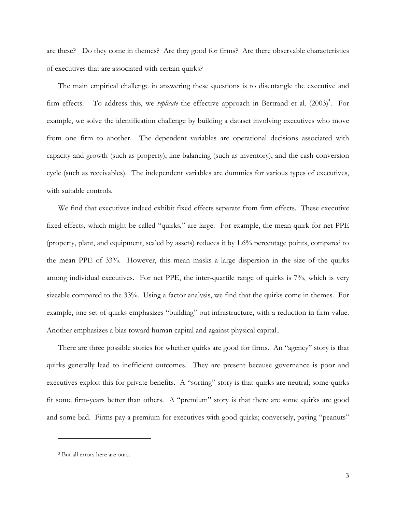are these? Do they come in themes? Are they good for firms? Are there observable characteristics of executives that are associated with certain quirks?

The main empirical challenge in answering these questions is to disentangle the executive and firm effects. To address this, we *replicate* the effective approach in Bertrand et al. (2003)<sup>3</sup>. For example, we solve the identification challenge by building a dataset involving executives who move from one firm to another. The dependent variables are operational decisions associated with capacity and growth (such as property), line balancing (such as inventory), and the cash conversion cycle (such as receivables). The independent variables are dummies for various types of executives, with suitable controls.

We find that executives indeed exhibit fixed effects separate from firm effects. These executive fixed effects, which might be called "quirks," are large. For example, the mean quirk for net PPE (property, plant, and equipment, scaled by assets) reduces it by 1.6% percentage points, compared to the mean PPE of 33%. However, this mean masks a large dispersion in the size of the quirks among individual executives. For net PPE, the inter-quartile range of quirks is 7%, which is very sizeable compared to the 33%. Using a factor analysis, we find that the quirks come in themes. For example, one set of quirks emphasizes "building" out infrastructure, with a reduction in firm value. Another emphasizes a bias toward human capital and against physical capital..

There are three possible stories for whether quirks are good for firms. An "agency" story is that quirks generally lead to inefficient outcomes. They are present because governance is poor and executives exploit this for private benefits. A "sorting" story is that quirks are neutral; some quirks fit some firm-years better than others. A "premium" story is that there are some quirks are good and some bad. Firms pay a premium for executives with good quirks; conversely, paying "peanuts"

-

<sup>3</sup> But all errors here are ours.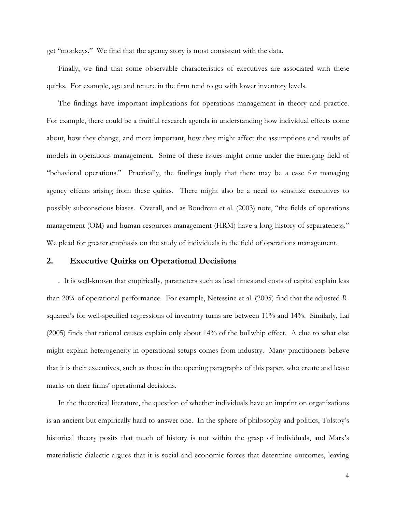get "monkeys." We find that the agency story is most consistent with the data.

Finally, we find that some observable characteristics of executives are associated with these quirks. For example, age and tenure in the firm tend to go with lower inventory levels.

The findings have important implications for operations management in theory and practice. For example, there could be a fruitful research agenda in understanding how individual effects come about, how they change, and more important, how they might affect the assumptions and results of models in operations management. Some of these issues might come under the emerging field of "behavioral operations." Practically, the findings imply that there may be a case for managing agency effects arising from these quirks. There might also be a need to sensitize executives to possibly subconscious biases. Overall, and as Boudreau et al. (2003) note, "the fields of operations management (OM) and human resources management (HRM) have a long history of separateness." We plead for greater emphasis on the study of individuals in the field of operations management.

# **2. Executive Quirks on Operational Decisions**

. It is well-known that empirically, parameters such as lead times and costs of capital explain less than 20% of operational performance. For example, Netessine et al. (2005) find that the adjusted *R*squared's for well-specified regressions of inventory turns are between 11% and 14%. Similarly, Lai (2005) finds that rational causes explain only about 14% of the bullwhip effect. A clue to what else might explain heterogeneity in operational setups comes from industry. Many practitioners believe that it is their executives, such as those in the opening paragraphs of this paper, who create and leave marks on their firms' operational decisions.

In the theoretical literature, the question of whether individuals have an imprint on organizations is an ancient but empirically hard-to-answer one. In the sphere of philosophy and politics, Tolstoy's historical theory posits that much of history is not within the grasp of individuals, and Marx's materialistic dialectic argues that it is social and economic forces that determine outcomes, leaving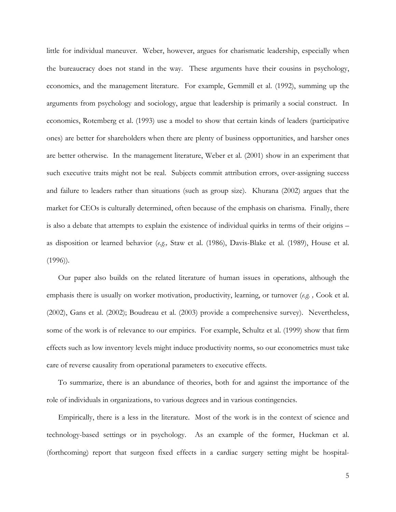little for individual maneuver. Weber, however, argues for charismatic leadership, especially when the bureaucracy does not stand in the way. These arguments have their cousins in psychology, economics, and the management literature. For example, Gemmill et al. (1992), summing up the arguments from psychology and sociology, argue that leadership is primarily a social construct. In economics, Rotemberg et al. (1993) use a model to show that certain kinds of leaders (participative ones) are better for shareholders when there are plenty of business opportunities, and harsher ones are better otherwise. In the management literature, Weber et al. (2001) show in an experiment that such executive traits might not be real. Subjects commit attribution errors, over-assigning success and failure to leaders rather than situations (such as group size). Khurana (2002) argues that the market for CEOs is culturally determined, often because of the emphasis on charisma. Finally, there is also a debate that attempts to explain the existence of individual quirks in terms of their origins – as disposition or learned behavior (*e.g.,* Staw et al. (1986), Davis-Blake et al. (1989), House et al. (1996)).

Our paper also builds on the related literature of human issues in operations, although the emphasis there is usually on worker motivation, productivity, learning, or turnover (*e.g. ,* Cook et al. (2002), Gans et al. (2002); Boudreau et al. (2003) provide a comprehensive survey). Nevertheless, some of the work is of relevance to our empirics. For example, Schultz et al. (1999) show that firm effects such as low inventory levels might induce productivity norms, so our econometrics must take care of reverse causality from operational parameters to executive effects.

To summarize, there is an abundance of theories, both for and against the importance of the role of individuals in organizations, to various degrees and in various contingencies.

Empirically, there is a less in the literature. Most of the work is in the context of science and technology-based settings or in psychology. As an example of the former, Huckman et al. (forthcoming) report that surgeon fixed effects in a cardiac surgery setting might be hospital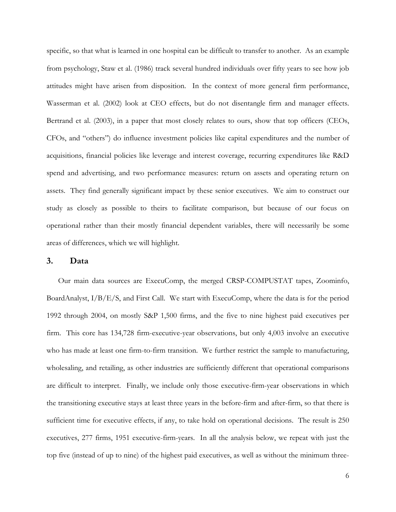specific, so that what is learned in one hospital can be difficult to transfer to another. As an example from psychology, Staw et al. (1986) track several hundred individuals over fifty years to see how job attitudes might have arisen from disposition. In the context of more general firm performance, Wasserman et al. (2002) look at CEO effects, but do not disentangle firm and manager effects. Bertrand et al. (2003), in a paper that most closely relates to ours, show that top officers (CEOs, CFOs, and "others") do influence investment policies like capital expenditures and the number of acquisitions, financial policies like leverage and interest coverage, recurring expenditures like R&D spend and advertising, and two performance measures: return on assets and operating return on assets. They find generally significant impact by these senior executives. We aim to construct our study as closely as possible to theirs to facilitate comparison, but because of our focus on operational rather than their mostly financial dependent variables, there will necessarily be some areas of differences, which we will highlight.

### **3. Data**

Our main data sources are ExecuComp, the merged CRSP-COMPUSTAT tapes, Zoominfo, BoardAnalyst, I/B/E/S, and First Call. We start with ExecuComp, where the data is for the period 1992 through 2004, on mostly S&P 1,500 firms, and the five to nine highest paid executives per firm. This core has 134,728 firm-executive-year observations, but only 4,003 involve an executive who has made at least one firm-to-firm transition. We further restrict the sample to manufacturing, wholesaling, and retailing, as other industries are sufficiently different that operational comparisons are difficult to interpret. Finally, we include only those executive-firm-year observations in which the transitioning executive stays at least three years in the before-firm and after-firm, so that there is sufficient time for executive effects, if any, to take hold on operational decisions. The result is 250 executives, 277 firms, 1951 executive-firm-years. In all the analysis below, we repeat with just the top five (instead of up to nine) of the highest paid executives, as well as without the minimum three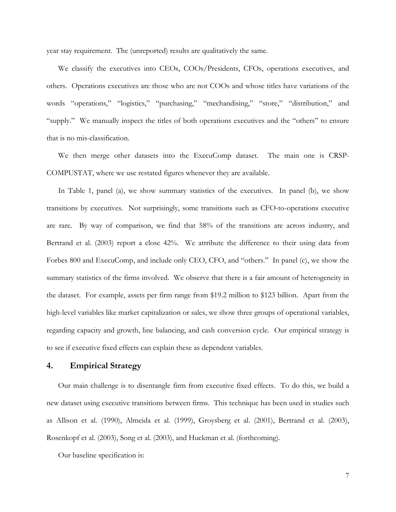year stay requirement. The (unreported) results are qualitatively the same.

We classify the executives into CEOs, COOs/Presidents, CFOs, operations executives, and others. Operations executives are those who are not COOs and whose titles have variations of the words "operations," "logistics," "purchasing," "mechandising," "store," "distribution," and "supply." We manually inspect the titles of both operations executives and the "others" to ensure that is no mis-classification.

We then merge other datasets into the ExecuComp dataset. The main one is CRSP-COMPUSTAT, where we use restated figures whenever they are available.

In Table 1, panel (a), we show summary statistics of the executives. In panel (b), we show transitions by executives. Not surprisingly, some transitions such as CFO-to-operations executive are rare. By way of comparison, we find that 58% of the transitions are across industry, and Bertrand et al. (2003) report a close 42%. We attribute the difference to their using data from Forbes 800 and ExecuComp, and include only CEO, CFO, and "others." In panel (c), we show the summary statistics of the firms involved. We observe that there is a fair amount of heterogeneity in the dataset. For example, assets per firm range from \$19.2 million to \$123 billion. Apart from the high-level variables like market capitalization or sales, we show three groups of operational variables, regarding capacity and growth, line balancing, and cash conversion cycle. Our empirical strategy is to see if executive fixed effects can explain these as dependent variables.

# **4. Empirical Strategy**

Our main challenge is to disentangle firm from executive fixed effects. To do this, we build a new dataset using executive transitions between firms. This technique has been used in studies such as Allison et al. (1990), Almeida et al. (1999), Groysberg et al. (2001), Bertrand et al. (2003), Rosenkopf et al. (2003), Song et al. (2003), and Huckman et al. (forthcoming).

Our baseline specification is: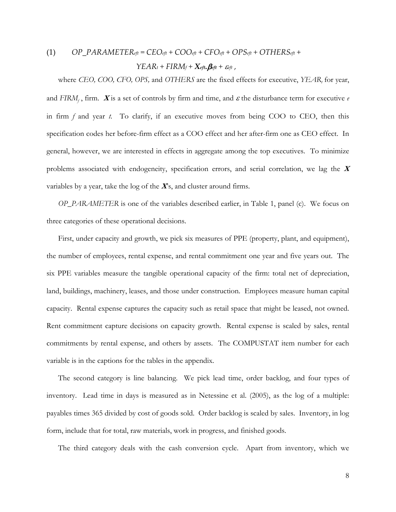(1) 
$$
OP\_PARAMETER_{eft} = CEO_{eft} + COO_{eft} + CFO_{eft} + OPS_{eft} + OTHERS_{eft} +
$$

$$
YEAR_t + FIRM_f + X_{eft}.B_{eft} + \varepsilon_{eft},
$$

where *CEO, COO, CFO, OPS,* and *OTHERS* are the fixed effects for executive, *YEAR<sup>t</sup>* for year, and  $FIRM_f$ , firm.  $\boldsymbol{X}$  is a set of controls by firm and time, and  $\boldsymbol{\varepsilon}$  the disturbance term for executive  $\ell$ in firm *f* and year *t*. To clarify, if an executive moves from being COO to CEO, then this specification codes her before-firm effect as a COO effect and her after-firm one as CEO effect. In general, however, we are interested in effects in aggregate among the top executives. To minimize problems associated with endogeneity, specification errors, and serial correlation, we lag the **<sup>X</sup>** variables by a year, take the log of the **X**'s, and cluster around firms.

*OP\_PARAMETER* is one of the variables described earlier, in Table 1, panel (c). We focus on three categories of these operational decisions.

First, under capacity and growth, we pick six measures of PPE (property, plant, and equipment), the number of employees, rental expense, and rental commitment one year and five years out. The six PPE variables measure the tangible operational capacity of the firm: total net of depreciation, land, buildings, machinery, leases, and those under construction. Employees measure human capital capacity. Rental expense captures the capacity such as retail space that might be leased, not owned. Rent commitment capture decisions on capacity growth. Rental expense is scaled by sales, rental commitments by rental expense, and others by assets. The COMPUSTAT item number for each variable is in the captions for the tables in the appendix.

The second category is line balancing. We pick lead time, order backlog, and four types of inventory. Lead time in days is measured as in Netessine et al. (2005), as the log of a multiple: payables times 365 divided by cost of goods sold. Order backlog is scaled by sales. Inventory, in log form, include that for total, raw materials, work in progress, and finished goods.

The third category deals with the cash conversion cycle. Apart from inventory, which we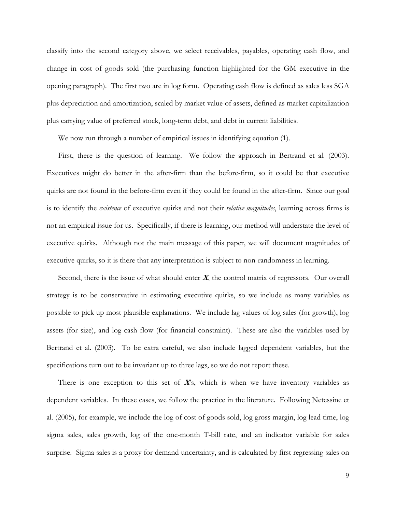classify into the second category above, we select receivables, payables, operating cash flow, and change in cost of goods sold (the purchasing function highlighted for the GM executive in the opening paragraph). The first two are in log form. Operating cash flow is defined as sales less SGA plus depreciation and amortization, scaled by market value of assets, defined as market capitalization plus carrying value of preferred stock, long-term debt, and debt in current liabilities.

We now run through a number of empirical issues in identifying equation (1).

First, there is the question of learning. We follow the approach in Bertrand et al. (2003). Executives might do better in the after-firm than the before-firm, so it could be that executive quirks are not found in the before-firm even if they could be found in the after-firm. Since our goal is to identify the *existence* of executive quirks and not their *relative magnitudes*, learning across firms is not an empirical issue for us. Specifically, if there is learning, our method will understate the level of executive quirks. Although not the main message of this paper, we will document magnitudes of executive quirks, so it is there that any interpretation is subject to non-randomness in learning.

Second, there is the issue of what should enter **X**, the control matrix of regressors. Our overall strategy is to be conservative in estimating executive quirks, so we include as many variables as possible to pick up most plausible explanations. We include lag values of log sales (for growth), log assets (for size), and log cash flow (for financial constraint). These are also the variables used by Bertrand et al. (2003). To be extra careful, we also include lagged dependent variables, but the specifications turn out to be invariant up to three lags, so we do not report these.

There is one exception to this set of **X**'s, which is when we have inventory variables as dependent variables. In these cases, we follow the practice in the literature. Following Netessine et al. (2005), for example, we include the log of cost of goods sold, log gross margin, log lead time, log sigma sales, sales growth, log of the one-month T-bill rate, and an indicator variable for sales surprise. Sigma sales is a proxy for demand uncertainty, and is calculated by first regressing sales on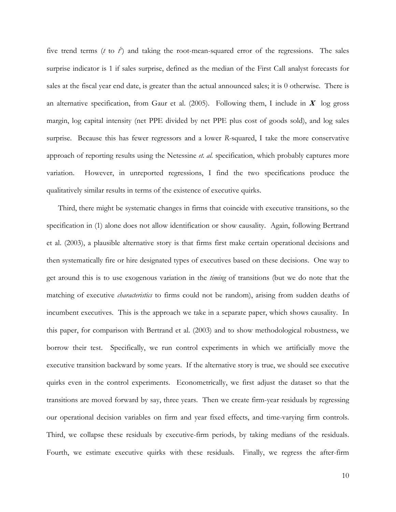five trend terms ( $t$  to  $\tilde{t}$ ) and taking the root-mean-squared error of the regressions. The sales surprise indicator is 1 if sales surprise, defined as the median of the First Call analyst forecasts for sales at the fiscal year end date, is greater than the actual announced sales; it is 0 otherwise. There is an alternative specification, from Gaur et al. (2005). Following them, I include in  $X$  log gross margin, log capital intensity (net PPE divided by net PPE plus cost of goods sold), and log sales surprise. Because this has fewer regressors and a lower *R*-squared, I take the more conservative approach of reporting results using the Netessine *et. al.* specification, which probably captures more variation. However, in unreported regressions, I find the two specifications produce the qualitatively similar results in terms of the existence of executive quirks.

Third, there might be systematic changes in firms that coincide with executive transitions, so the specification in (1) alone does not allow identification or show causality. Again, following Bertrand et al. (2003), a plausible alternative story is that firms first make certain operational decisions and then systematically fire or hire designated types of executives based on these decisions. One way to get around this is to use exogenous variation in the *timing* of transitions (but we do note that the matching of executive *characteristics* to firms could not be random), arising from sudden deaths of incumbent executives. This is the approach we take in a separate paper, which shows causality. In this paper, for comparison with Bertrand et al. (2003) and to show methodological robustness, we borrow their test. Specifically, we run control experiments in which we artificially move the executive transition backward by some years. If the alternative story is true, we should see executive quirks even in the control experiments. Econometrically, we first adjust the dataset so that the transitions are moved forward by say, three years. Then we create firm-year residuals by regressing our operational decision variables on firm and year fixed effects, and time-varying firm controls. Third, we collapse these residuals by executive-firm periods, by taking medians of the residuals. Fourth, we estimate executive quirks with these residuals. Finally, we regress the after-firm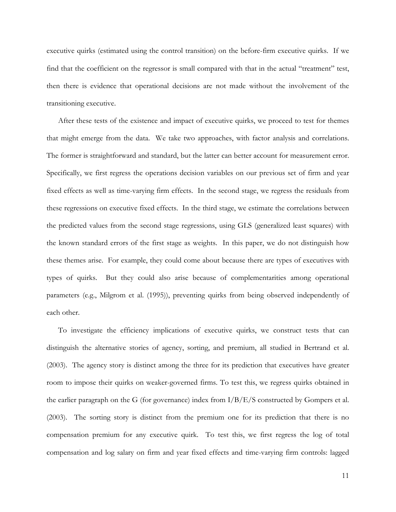executive quirks (estimated using the control transition) on the before-firm executive quirks. If we find that the coefficient on the regressor is small compared with that in the actual "treatment" test, then there is evidence that operational decisions are not made without the involvement of the transitioning executive.

After these tests of the existence and impact of executive quirks, we proceed to test for themes that might emerge from the data. We take two approaches, with factor analysis and correlations. The former is straightforward and standard, but the latter can better account for measurement error. Specifically, we first regress the operations decision variables on our previous set of firm and year fixed effects as well as time-varying firm effects. In the second stage, we regress the residuals from these regressions on executive fixed effects. In the third stage, we estimate the correlations between the predicted values from the second stage regressions, using GLS (generalized least squares) with the known standard errors of the first stage as weights. In this paper, we do not distinguish how these themes arise. For example, they could come about because there are types of executives with types of quirks. But they could also arise because of complementarities among operational parameters (e.g., Milgrom et al. (1995)), preventing quirks from being observed independently of each other.

To investigate the efficiency implications of executive quirks, we construct tests that can distinguish the alternative stories of agency, sorting, and premium, all studied in Bertrand et al. (2003). The agency story is distinct among the three for its prediction that executives have greater room to impose their quirks on weaker-governed firms. To test this, we regress quirks obtained in the earlier paragraph on the G (for governance) index from  $I/B/E/S$  constructed by Gompers et al. (2003). The sorting story is distinct from the premium one for its prediction that there is no compensation premium for any executive quirk. To test this, we first regress the log of total compensation and log salary on firm and year fixed effects and time-varying firm controls: lagged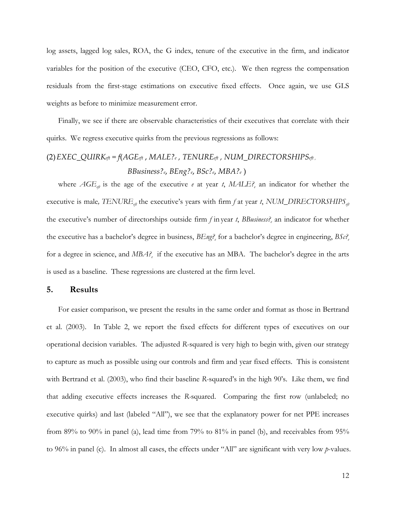log assets, lagged log sales, ROA, the G index, tenure of the executive in the firm, and indicator variables for the position of the executive (CEO, CFO, etc.). We then regress the compensation residuals from the first-stage estimations on executive fixed effects. Once again, we use GLS weights as before to minimize measurement error.

Finally, we see if there are observable characteristics of their executives that correlate with their quirks. We regress executive quirks from the previous regressions as follows:

(2)*EXEC\_QUIRKeft = f*(*AGEeft* , *MALE?<sup>e</sup> , TENUREeft , NUM\_DIRECTORSHIPSeft , BBusiness?e*, *BEng?e*, *BSc?e*, *MBA?<sup>e</sup>* )

where  $AGE_{e\mu}$  is the age of the executive *e* at year *t*,  $MALE$ ? an indicator for whether the executive is male,  $TENURE_{eft}$  the executive's years with firm *f* at year *t*,  $NUM\_DIRECTORSHIPS_{eft}$ the executive's number of directorships outside firm *f* in year *t*, *BBusiness?<sup>e</sup>* an indicator for whether the executive has a bachelor's degree in business, *BEng?<sup>e</sup>* for a bachelor's degree in engineering, *BSc?<sup>e</sup>* for a degree in science, and *MBA?<sup>e</sup>* if the executive has an MBA. The bachelor's degree in the arts is used as a baseline. These regressions are clustered at the firm level.

### **5. Results**

For easier comparison, we present the results in the same order and format as those in Bertrand et al. (2003). In Table 2, we report the fixed effects for different types of executives on our operational decision variables. The adjusted *R*-squared is very high to begin with, given our strategy to capture as much as possible using our controls and firm and year fixed effects. This is consistent with Bertrand et al. (2003), who find their baseline *R*-squared's in the high 90's. Like them, we find that adding executive effects increases the *R-*squared. Comparing the first row (unlabeled; no executive quirks) and last (labeled "All"), we see that the explanatory power for net PPE increases from 89% to 90% in panel (a), lead time from 79% to 81% in panel (b), and receivables from 95% to 96% in panel (c). In almost all cases, the effects under "All" are significant with very low *p*-values.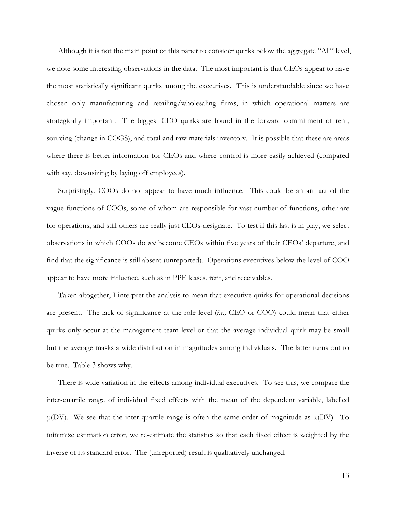Although it is not the main point of this paper to consider quirks below the aggregate "All" level, we note some interesting observations in the data. The most important is that CEOs appear to have the most statistically significant quirks among the executives. This is understandable since we have chosen only manufacturing and retailing/wholesaling firms, in which operational matters are strategically important. The biggest CEO quirks are found in the forward commitment of rent, sourcing (change in COGS), and total and raw materials inventory. It is possible that these are areas where there is better information for CEOs and where control is more easily achieved (compared with say, downsizing by laying off employees).

Surprisingly, COOs do not appear to have much influence. This could be an artifact of the vague functions of COOs, some of whom are responsible for vast number of functions, other are for operations, and still others are really just CEOs-designate. To test if this last is in play, we select observations in which COOs do *not* become CEOs within five years of their CEOs' departure, and find that the significance is still absent (unreported). Operations executives below the level of COO appear to have more influence, such as in PPE leases, rent, and receivables.

Taken altogether, I interpret the analysis to mean that executive quirks for operational decisions are present. The lack of significance at the role level (*i.e.,* CEO or COO) could mean that either quirks only occur at the management team level or that the average individual quirk may be small but the average masks a wide distribution in magnitudes among individuals. The latter turns out to be true. Table 3 shows why.

There is wide variation in the effects among individual executives. To see this, we compare the inter-quartile range of individual fixed effects with the mean of the dependent variable, labelled μ(DV). We see that the inter-quartile range is often the same order of magnitude as  $μ(DV)$ . To minimize estimation error, we re-estimate the statistics so that each fixed effect is weighted by the inverse of its standard error. The (unreported) result is qualitatively unchanged.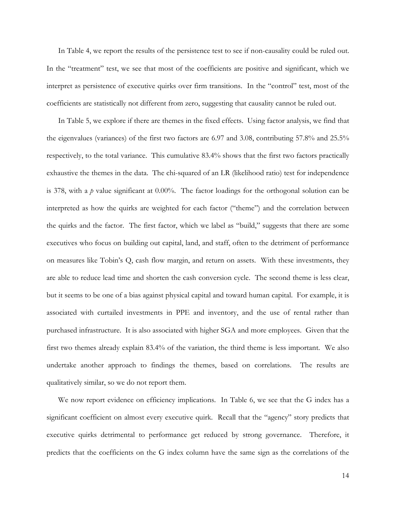In Table 4, we report the results of the persistence test to see if non-causality could be ruled out. In the "treatment" test, we see that most of the coefficients are positive and significant, which we interpret as persistence of executive quirks over firm transitions. In the "control" test, most of the coefficients are statistically not different from zero, suggesting that causality cannot be ruled out.

In Table 5, we explore if there are themes in the fixed effects. Using factor analysis, we find that the eigenvalues (variances) of the first two factors are 6.97 and 3.08, contributing 57.8% and 25.5% respectively, to the total variance. This cumulative 83.4% shows that the first two factors practically exhaustive the themes in the data. The chi-squared of an LR (likelihood ratio) test for independence is 378, with a *p* value significant at 0.00%. The factor loadings for the orthogonal solution can be interpreted as how the quirks are weighted for each factor ("theme") and the correlation between the quirks and the factor. The first factor, which we label as "build," suggests that there are some executives who focus on building out capital, land, and staff, often to the detriment of performance on measures like Tobin's Q, cash flow margin, and return on assets. With these investments, they are able to reduce lead time and shorten the cash conversion cycle. The second theme is less clear, but it seems to be one of a bias against physical capital and toward human capital. For example, it is associated with curtailed investments in PPE and inventory, and the use of rental rather than purchased infrastructure. It is also associated with higher SGA and more employees. Given that the first two themes already explain 83.4% of the variation, the third theme is less important. We also undertake another approach to findings the themes, based on correlations. The results are qualitatively similar, so we do not report them.

We now report evidence on efficiency implications. In Table 6, we see that the G index has a significant coefficient on almost every executive quirk. Recall that the "agency" story predicts that executive quirks detrimental to performance get reduced by strong governance. Therefore, it predicts that the coefficients on the G index column have the same sign as the correlations of the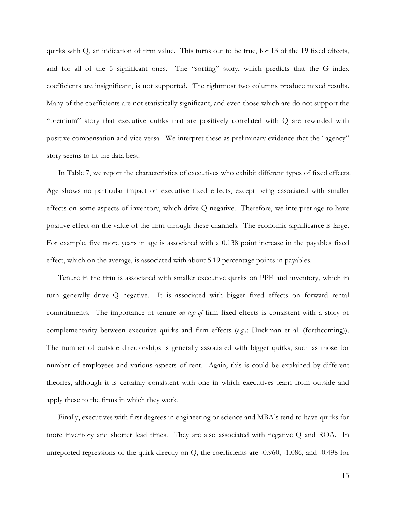quirks with Q, an indication of firm value. This turns out to be true, for 13 of the 19 fixed effects, and for all of the 5 significant ones. The "sorting" story, which predicts that the G index coefficients are insignificant, is not supported. The rightmost two columns produce mixed results. Many of the coefficients are not statistically significant, and even those which are do not support the "premium" story that executive quirks that are positively correlated with Q are rewarded with positive compensation and vice versa. We interpret these as preliminary evidence that the "agency" story seems to fit the data best.

In Table 7, we report the characteristics of executives who exhibit different types of fixed effects. Age shows no particular impact on executive fixed effects, except being associated with smaller effects on some aspects of inventory, which drive Q negative. Therefore, we interpret age to have positive effect on the value of the firm through these channels. The economic significance is large. For example, five more years in age is associated with a 0.138 point increase in the payables fixed effect, which on the average, is associated with about 5.19 percentage points in payables.

Tenure in the firm is associated with smaller executive quirks on PPE and inventory, which in turn generally drive Q negative. It is associated with bigger fixed effects on forward rental commitments. The importance of tenure *on top of* firm fixed effects is consistent with a story of complementarity between executive quirks and firm effects (*e.g.,*: Huckman et al. (forthcoming)). The number of outside directorships is generally associated with bigger quirks, such as those for number of employees and various aspects of rent. Again, this is could be explained by different theories, although it is certainly consistent with one in which executives learn from outside and apply these to the firms in which they work.

Finally, executives with first degrees in engineering or science and MBA's tend to have quirks for more inventory and shorter lead times. They are also associated with negative Q and ROA. In unreported regressions of the quirk directly on Q, the coefficients are -0.960, -1.086, and -0.498 for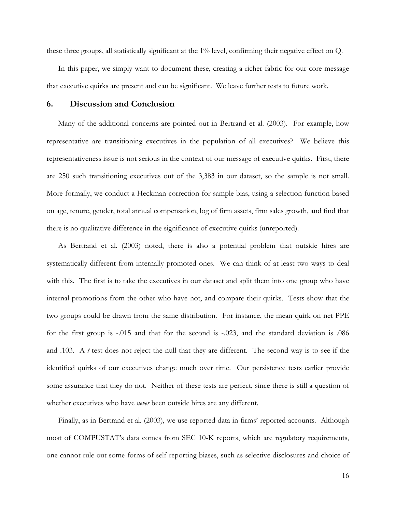these three groups, all statistically significant at the 1% level, confirming their negative effect on Q.

In this paper, we simply want to document these, creating a richer fabric for our core message that executive quirks are present and can be significant. We leave further tests to future work.

# **6. Discussion and Conclusion**

Many of the additional concerns are pointed out in Bertrand et al. (2003). For example, how representative are transitioning executives in the population of all executives? We believe this representativeness issue is not serious in the context of our message of executive quirks. First, there are 250 such transitioning executives out of the 3,383 in our dataset, so the sample is not small. More formally, we conduct a Heckman correction for sample bias, using a selection function based on age, tenure, gender, total annual compensation, log of firm assets, firm sales growth, and find that there is no qualitative difference in the significance of executive quirks (unreported).

As Bertrand et al. (2003) noted, there is also a potential problem that outside hires are systematically different from internally promoted ones. We can think of at least two ways to deal with this. The first is to take the executives in our dataset and split them into one group who have internal promotions from the other who have not, and compare their quirks. Tests show that the two groups could be drawn from the same distribution. For instance, the mean quirk on net PPE for the first group is -.015 and that for the second is -.023, and the standard deviation is .086 and .103. A *t*-test does not reject the null that they are different. The second way is to see if the identified quirks of our executives change much over time. Our persistence tests earlier provide some assurance that they do not. Neither of these tests are perfect, since there is still a question of whether executives who have *never* been outside hires are any different.

Finally, as in Bertrand et al. (2003), we use reported data in firms' reported accounts. Although most of COMPUSTAT's data comes from SEC 10-K reports, which are regulatory requirements, one cannot rule out some forms of self-reporting biases, such as selective disclosures and choice of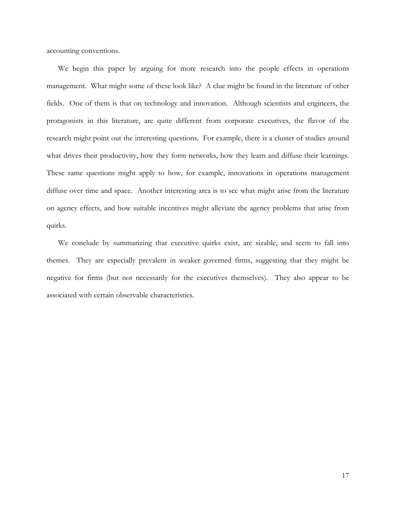accounting conventions.

We begin this paper by arguing for more research into the people effects in operations management. What might some of these look like? A clue might be found in the literature of other fields. One of them is that on technology and innovation. Although scientists and engineers, the protagonists in this literature, are quite different from corporate executives, the flavor of the research might point out the interesting questions. For example, there is a cluster of studies around what drives their productivity, how they form networks, how they learn and diffuse their learnings. These same questions might apply to how, for example, innovations in operations management diffuse over time and space. Another interesting area is to see what might arise from the literature on agency effects, and how suitable incentives might alleviate the agency problems that arise from quirks.

We conclude by summarizing that executive quirks exist, are sizable, and seem to fall into themes. They are especially prevalent in weaker governed firms, suggesting that they might be negative for firms (but not necessarily for the executives themselves). They also appear to be associated with certain observable characteristics.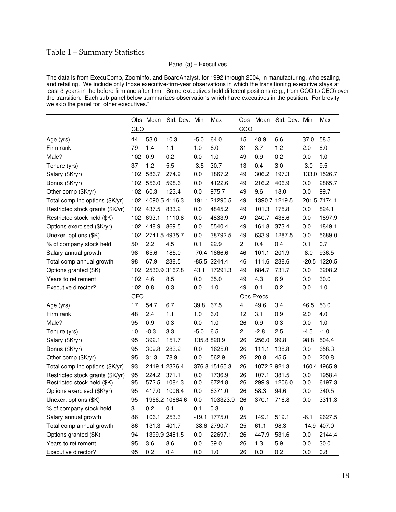# Table 1 – Summary Statistics

### Panel (a) – Executives

The data is from ExecuComp, Zoominfo, and BoardAnalyst, for 1992 through 2004, in manufacturing, wholesaling, and retailing. We include only those executive-firm-year observations in which the transitioning executive stays at least 3 years in the before-firm and after-firm. Some executives hold different positions (e.g., from COO to CEO) over the transition. Each sub-panel below summarizes observations which have executives in the position. For brevity, we skip the panel for "other executives."

|                                  | Obs        | Mean   | Std. Dev. Min  |        | Max            | Obs                     | Mean         | Std. Dev. Min |        | Max            |
|----------------------------------|------------|--------|----------------|--------|----------------|-------------------------|--------------|---------------|--------|----------------|
|                                  | CEO        |        |                |        |                | COO                     |              |               |        |                |
| Age (yrs)                        | 44         | 53.0   | 10.3           | $-5.0$ | 64.0           | 15                      | 48.9         | 6.6           | 37.0   | 58.5           |
| Firm rank                        | 79         | 1.4    | 1.1            | 1.0    | 6.0            | 31                      | 3.7          | 1.2           | 2.0    | 6.0            |
| Male?                            | 102        | 0.9    | 0.2            | 0.0    | 1.0            | 49                      | 0.9          | 0.2           | 0.0    | 1.0            |
| Tenure (yrs)                     | 37         | 1.2    | 5.5            | $-3.5$ | 30.7           | 13                      | 0.4          | 3.0           | $-3.0$ | 9.5            |
| Salary (\$K/yr)                  | 102        | 586.7  | 274.9          | 0.0    | 1867.2         | 49                      | 306.2        | 197.3         |        | 133.0 1526.7   |
| Bonus (\$K/yr)                   | 102        | 556.0  | 598.6          | 0.0    | 4122.6         | 49                      | 216.2        | 406.9         | 0.0    | 2865.7         |
| Other comp (\$K/yr)              | 102        | 60.3   | 123.4          | 0.0    | 975.7          | 49                      | 9.6          | 18.0          | 0.0    | 99.7           |
| Total comp inc options (\$K/yr)  | 102        |        | 4090.5 4116.3  | 191.1  | 21290.5        | 49                      |              | 1390.7 1219.5 |        | 201.5 7174.1   |
| Restricted stock grants (\$K/yr) | 102        | 437.5  | 833.2          | 0.0    | 4845.2         | 49                      | 101.3        | 175.8         | 0.0    | 824.1          |
| Restricted stock held (\$K)      | 102        | 693.1  | 1110.8         | 0.0    | 4833.9         | 49                      | 240.7        | 436.6         | 0.0    | 1897.9         |
| Options exercised (\$K/yr)       | 102        | 448.9  | 869.5          | 0.0    | 5540.4         | 49                      | 161.8        | 373.4         | 0.0    | 1849.1         |
| Unexer. options (\$K)            | 102        |        | 2741.5 4935.7  | 0.0    | 38792.5        | 49                      | 633.9        | 1287.5        | 0.0    | 5689.0         |
| % of company stock held          | 50         | 2.2    | 4.5            | 0.1    | 22.9           | 2                       | 0.4          | 0.4           | 0.1    | 0.7            |
| Salary annual growth             | 98         | 65.6   | 185.0          |        | $-70.4$ 1666.6 | 46                      | 101.1        | 201.9         | $-8.0$ | 936.5          |
| Total comp annual growth         | 98         | 67.9   | 238.5          |        | $-85.5$ 2244.4 | 46                      | 111.6        | 238.6         |        | $-20.5$ 1220.5 |
| Options granted (\$K)            | 102        |        | 2530.9 3167.8  | 43.1   | 17291.3        | 49                      | 684.7        | 731.7         | 0.0    | 3208.2         |
| Years to retirement              | 102        | 4.6    | 8.5            | 0.0    | 35.0           | 49                      | 4.3          | 6.9           | 0.0    | 30.0           |
| Executive director?              | 102        | 0.8    | 0.3            | 0.0    | 1.0            | 49                      | 0.1          | 0.2           | 0.0    | 1.0            |
|                                  | <b>CFO</b> |        |                |        |                |                         | Ops Execs    |               |        |                |
| Age (yrs)                        | 17         | 54.7   | 6.7            | 39.8   | 67.5           | 4                       | 49.6         | 3.4           | 46.5   | 53.0           |
| Firm rank                        | 48         | 2.4    | 1.1            | 1.0    | 6.0            | 12                      | 3.1          | 0.9           | 2.0    | 4.0            |
| Male?                            | 95         | 0.9    | 0.3            | 0.0    | 1.0            | 26                      | 0.9          | 0.3           | 0.0    | 1.0            |
| Tenure (yrs)                     | 10         | $-0.3$ | 3.3            | $-5.0$ | 6.5            | $\overline{\mathbf{c}}$ | $-2.8$       | 2.5           | $-4.5$ | $-1.0$         |
| Salary (\$K/yr)                  | 95         | 392.1  | 151.7          |        | 135.8 820.9    | 26                      | 256.0        | 99.8          | 98.8   | 504.4          |
| Bonus (\$K/yr)                   | 95         | 309.8  | 283.2          | 0.0    | 1625.0         | 26                      | 111.1        | 138.8         | 0.0    | 658.3          |
| Other comp (\$K/yr)              | 95         | 31.3   | 78.9           | 0.0    | 562.9          | 26                      | 20.8         | 45.5          | 0.0    | 200.8          |
| Total comp inc options (\$K/yr)  | 93         |        | 2419.4 2326.4  |        | 376.8 15165.3  | 26                      | 1072.2 921.3 |               |        | 160.4 4965.9   |
| Restricted stock grants (\$K/yr) | 95         | 224.2  | 371.1          | 0.0    | 1736.9         | 26                      | 107.1        | 381.5         | 0.0    | 1958.4         |
| Restricted stock held (\$K)      | 95         | 572.5  | 1084.3         | 0.0    | 6724.8         | 26                      | 299.9        | 1206.0        | 0.0    | 6197.3         |
| Options exercised (\$K/yr)       | 95         | 417.0  | 1006.4         | 0.0    | 6371.0         | 26                      | 58.3         | 94.6          | 0.0    | 340.5          |
| Unexer. options (\$K)            | 95         |        | 1956.2 10664.6 | 0.0    | 103323.9       | 26                      | 370.1        | 716.8         | 0.0    | 3311.3         |
| % of company stock held          | 3          | 0.2    | 0.1            | 0.1    | 0.3            | 0                       |              |               |        |                |
| Salary annual growth             | 86         | 106.1  | 253.3          |        | $-19.1$ 1775.0 | 25                      | 149.1        | 519.1         | $-6.1$ | 2627.5         |
| Total comp annual growth         | 86         | 131.3  | 401.7          |        | -38.6 2790.7   | 25                      | 61.1         | 98.3          |        | $-14.9$ 407.0  |
| Options granted (\$K)            | 94         |        | 1399.9 2481.5  | 0.0    | 22697.1        | 26                      | 447.9        | 531.6         | 0.0    | 2144.4         |
| Years to retirement              | 95         | 3.6    | 8.6            | 0.0    | 39.0           | 26                      | 1.3          | 5.9           | 0.0    | 30.0           |
| Executive director?              | 95         | 0.2    | 0.4            | 0.0    | 1.0            | 26                      | 0.0          | 0.2           | 0.0    | 0.8            |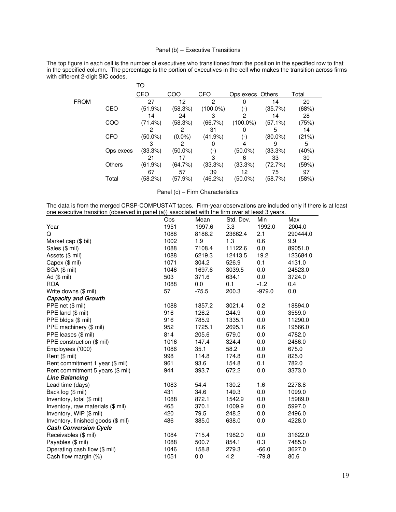### Panel (b) – Executive Transitions

The top figure in each cell is the number of executives who transitioned from the position in the specified row to that in the specified column. The percentage is the portion of executives in the cell who makes the transition across firms with different 2-digit SIC codes.

|             |               | TO         |           |             |                  |            |       |
|-------------|---------------|------------|-----------|-------------|------------------|------------|-------|
|             |               | CEO        | COO       | <b>CFO</b>  | Ops execs Others |            | Total |
| <b>FROM</b> |               | 27         | 12        |             |                  | 14         | 20    |
|             | <b>CEO</b>    | (51.9%)    | (58.3%)   | $(100.0\%)$ | ( – ا            | (35.7%)    | (68%) |
|             |               | 14         | 24        |             |                  | 14         | 28    |
|             | COO           | (71.4%)    | (58.3%)   | (66.7%)     | $(100.0\%)$      | $(57.1\%)$ | (75%) |
|             |               |            |           | 31          |                  | 5          | 14    |
|             | <b>CFO</b>    | $(50.0\%)$ | $(0.0\%)$ | (41.9%)     | ( - ا            | $(80.0\%)$ | (21%) |
|             |               |            |           |             |                  | 9          | 5     |
|             | Ops execs     | (33.3%)    | (50.0%)   | (-)         | $(50.0\%)$       | (33.3%)    | (40%) |
|             |               | 21         |           | з           |                  | 33         | 30    |
|             | <b>Others</b> | $(61.9\%)$ | (64.7%)   | $(33.3\%)$  | $(33.3\%)$       | (72.7%)    | (59%) |
|             |               | 67         | 57        | 39          | 12               | 75         | 97    |
|             | Total         | (58.2%)    | (57.9%)   | (46.2%)     | $(50.0\%)$       | (58.7%)    | (58%) |

|  | Panel (c) - Firm Characteristics |  |
|--|----------------------------------|--|
|--|----------------------------------|--|

The data is from the merged CRSP-COMPUSTAT tapes. Firm-year observations are included only if there is at least one executive transition (observed in panel (a)) associated with the firm over at least 3 years.  $\overline{a}$ 

|                                    | Obs  | Mean    | Std. Dev. | Min      | Max      |
|------------------------------------|------|---------|-----------|----------|----------|
| Year                               | 1951 | 1997.6  | 3.3       | 1992.0   | 2004.0   |
| Q                                  | 1088 | 8186.2  | 23662.4   | 2.1      | 290444.0 |
| Market cap (\$ bil)                | 1002 | 1.9     | 1.3       | 0.6      | 9.9      |
| Sales (\$ mil)                     | 1088 | 7108.4  | 11122.6   | 0.0      | 89051.0  |
| Assets (\$ mil)                    | 1088 | 6219.3  | 12413.5   | 19.2     | 123684.0 |
| Capex (\$ mil)                     | 1071 | 304.2   | 526.9     | 0.1      | 4131.0   |
| SGA (\$ mil)                       | 1046 | 1697.6  | 3039.5    | 0.0      | 24523.0  |
| Ad $($$ mil)                       | 503  | 371.6   | 634.1     | 0.0      | 3724.0   |
| <b>ROA</b>                         | 1088 | 0.0     | 0.1       | $-1.2$   | 0.4      |
| Write downs (\$ mil)               | 57   | $-75.5$ | 200.3     | $-979.0$ | 0.0      |
| <b>Capacity and Growth</b>         |      |         |           |          |          |
| PPE net (\$ mil)                   | 1088 | 1857.2  | 3021.4    | 0.2      | 18894.0  |
| PPE land (\$ mil)                  | 916  | 126.2   | 244.9     | 0.0      | 3559.0   |
| PPE bldgs (\$ mil)                 | 916  | 785.9   | 1335.1    | 0.0      | 11290.0  |
| PPE machinery (\$ mil)             | 952  | 1725.1  | 2695.1    | 0.6      | 19566.0  |
| PPE leases (\$ mil)                | 814  | 205.6   | 579.0     | 0.0      | 4782.0   |
| PPE construction (\$ mil)          | 1016 | 147.4   | 324.4     | 0.0      | 2486.0   |
| Employees ('000)                   | 1086 | 35.1    | 58.2      | 0.0      | 675.0    |
| Rent (\$ mil)                      | 998  | 114.8   | 174.8     | 0.0      | 825.0    |
| Rent commitment 1 year (\$ mil)    | 961  | 93.6    | 154.8     | 0.1      | 782.0    |
| Rent commitment 5 years (\$ mil)   | 944  | 393.7   | 672.2     | 0.0      | 3373.0   |
| <b>Line Balancing</b>              |      |         |           |          |          |
| Lead time (days)                   | 1083 | 54.4    | 130.2     | 1.6      | 2278.8   |
| Back log (\$ mil)                  | 431  | 34.6    | 149.3     | 0.0      | 1099.0   |
| Inventory, total (\$ mil)          | 1088 | 872.1   | 1542.9    | 0.0      | 15989.0  |
| Inventory, raw materials (\$ mil)  | 465  | 370.1   | 1009.9    | 0.0      | 5997.0   |
| Inventory, WIP (\$ mil)            | 420  | 79.5    | 248.2     | 0.0      | 2496.0   |
| Inventory, finished goods (\$ mil) | 486  | 385.0   | 638.0     | 0.0      | 4228.0   |
| <b>Cash Conversion Cycle</b>       |      |         |           |          |          |
| Receivables (\$ mil)               | 1084 | 715.4   | 1982.0    | 0.0      | 31622.0  |
| Payables (\$ mil)                  | 1088 | 500.7   | 854.1     | 0.3      | 7485.0   |
| Operating cash flow (\$ mil)       | 1046 | 158.8   | 279.3     | $-66.0$  | 3627.0   |
| Cash flow margin (%)               | 1051 | 0.0     | 4.2       | $-79.8$  | 80.6     |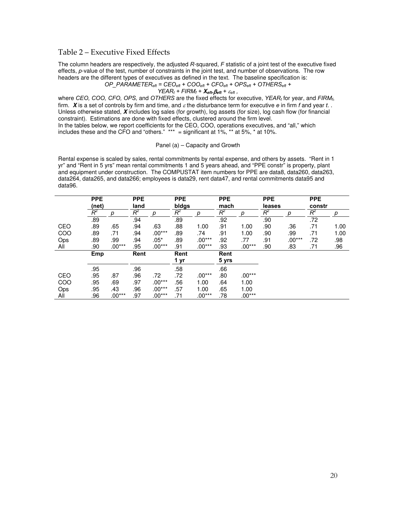### Table 2 – Executive Fixed Effects

The column headers are respectively, the adjusted *R*-squared, *F* statistic of a joint test of the executive fixed effects, *p*-value of the test, number of constraints in the joint test, and number of observations. The row headers are the different types of executives as defined in the text. The baseline specification is:

*OP\_PARAMETEReft = CEOeft + COOeft + CFOeft + OPSeft + OTHERSeft +* 

 $YEAR_t + FIRM_f + X_{\text{eff}}$ . $\beta_{\text{eff}} + \varepsilon_{\text{eff}}$ 

where *CEO, COO, CFO, OPS,* and *OTHERS* are the fixed effects for executive, *YEARt* for year, and *FIRMf*, firm. **X** is a set of controls by firm and time, and ε the disturbance term for executive *e* in firm *f* and year *t*. . Unless otherwise stated, **X** includes log sales (for growth), log assets (for size), log cash flow (for financial constraint). Estimations are done with fixed effects, clustered around the firm level. In the tables below, we report coefficients for the CEO, COO, operations executives, and "all," which includes these and the CFO and "others." \*\*\* = significant at 1%, \*\* at 5%, \* at 10%.

#### Panel (a) – Capacity and Growth

Rental expense is scaled by sales, rental commitments by rental expense, and others by assets. "Rent in 1 yr" and "Rent in 5 yrs" mean rental commitments 1 and 5 years ahead, and "PPE constr" is property, plant and equipment under construction. The COMPUSTAT item numbers for PPE are data8, data260, data263, data264, data265, and data266; employees is data29, rent data47, and rental commitments data95 and data96.

|     | <b>PPE</b><br>(net) |          | <b>PPE</b><br>land |          | <b>PPE</b><br>bidgs |          | <b>PPE</b><br>mach |          | <b>PPE</b><br>leases |          | <b>PPE</b><br>constr |      |
|-----|---------------------|----------|--------------------|----------|---------------------|----------|--------------------|----------|----------------------|----------|----------------------|------|
|     | $R^2$               | D        | $\overline{R}^2$   | D        | $R^2$               | р        | $R^2$              | р        | $R^2$                | р        | $R^2$                | р    |
|     | .89                 |          | .94                |          | .89                 |          | .92                |          | .90                  |          | .72                  |      |
| CEO | .89                 | .65      | .94                | .63      | .88                 | 1.00     | .91                | 1.00     | .90                  | .36      | .71                  | 1.00 |
| COO | .89                 | .71      | .94                | $.00***$ | .89                 | .74      | .91                | 1.00     | .90                  | .99      | .71                  | 1.00 |
| Ops | .89                 | .99      | .94                | $.05*$   | .89                 | $.00***$ | .92                | .77      | .91                  | $.00***$ | .72                  | .98  |
| All | .90                 | $.00***$ | .95                | $.00***$ | .91                 | $.00***$ | .93                | $.00***$ | .90                  | .83      | .71                  | .96  |
|     | Emp                 |          | Rent               |          | Rent                |          | Rent               |          |                      |          |                      |      |
|     |                     |          |                    |          | 1 yr                |          | 5 yrs              |          |                      |          |                      |      |
|     | .95                 |          | .96                |          | .58                 |          | .66                |          |                      |          |                      |      |
| CEO | .95                 | .87      | .96                | .72      | .72                 | $.00***$ | .80                | $.00***$ |                      |          |                      |      |
| COO | .95                 | .69      | .97                | $.00***$ | .56                 | 1.00     | .64                | 1.00     |                      |          |                      |      |
| Ops | .95                 | .43      | .96                | $.00***$ | .57                 | 1.00     | .65                | 1.00     |                      |          |                      |      |
| All | .96                 | $.00***$ | .97                | $.00***$ | .71                 | $.00***$ | .78                | $.00***$ |                      |          |                      |      |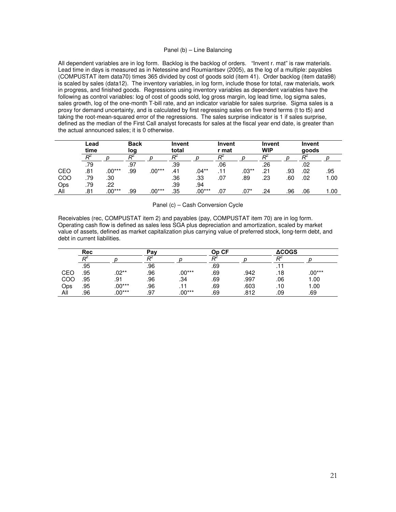#### Panel (b) – Line Balancing

All dependent variables are in log form. Backlog is the backlog of orders. "Invent r. mat" is raw materials. Lead time in days is measured as in Netessine and Roumiantsev (2005), as the log of a multiple: payables (COMPUSTAT item data70) times 365 divided by cost of goods sold (item 41). Order backlog (item data98) is scaled by sales (data12). The inventory variables, in log form, include those for total, raw materials, work in progress, and finished goods. Regressions using inventory variables as dependent variables have the following as control variables: log of cost of goods sold, log gross margin, log lead time, log sigma sales, sales growth, log of the one-month T-bill rate, and an indicator variable for sales surprise. Sigma sales is a proxy for demand uncertainty, and is calculated by first regressing sales on five trend terms (t to t5) and taking the root-mean-squared error of the regressions. The sales surprise indicator is 1 if sales surprise, defined as the median of the First Call analyst forecasts for sales at the fiscal year end date, is greater than the actual announced sales; it is 0 otherwise.

|     | Lead<br>time |          | <b>Back</b><br>log |          | Invent<br>total |          | Invent<br>r mat |         | Invent<br><b>WIP</b> |     | Invent<br>goods |      |
|-----|--------------|----------|--------------------|----------|-----------------|----------|-----------------|---------|----------------------|-----|-----------------|------|
|     |              |          |                    |          |                 |          |                 |         |                      |     |                 |      |
|     | .79          |          | .97                |          | .39             |          | .06             |         | .26                  |     | .02             |      |
| CEO | .81          | $.00***$ | .99                | $.00***$ | .41             | $.04**$  | .11             | $.03**$ | .21                  | .93 | .02             | .95  |
| COO | .79          | .30      |                    |          | .36             | .33      | .07             | .89     | .23                  | .60 | .02             | 1.00 |
| Ops | .79          | .22      |                    |          | .39             | .94      |                 |         |                      |     |                 |      |
| All | .81          | $.00***$ | .99                | $.00***$ | .35             | $.00***$ | .07             | $.07*$  | .24                  | .96 | .06             | 1.00 |

Panel (c) – Cash Conversion Cycle

Receivables (rec, COMPUSTAT item 2) and payables (pay, COMPUSTAT item 70) are in log form. Operating cash flow is defined as sales less SGA plus depreciation and amortization, scaled by market value of assets, defined as market capitalization plus carrying value of preferred stock, long-term debt, and debt in current liabilities.

|     | <b>Rec</b> |          | Pav |          | Op CF |      | <b>ACOGS</b> |          |  |
|-----|------------|----------|-----|----------|-------|------|--------------|----------|--|
|     |            |          |     |          |       |      |              |          |  |
|     | .95        |          | .96 |          | .69   |      |              |          |  |
| CEO | .95        | .02**    | .96 | $.00***$ | .69   | .942 | .18          | $.00***$ |  |
| COO | .95        | .91      | .96 | .34      | .69   | .997 | .06          | 1.00     |  |
| Ops | .95        | $.00***$ | .96 |          | .69   | .603 | .10          | 1.00     |  |
| All | .96        | $.00***$ | .97 | $.00***$ | .69   | .812 | .09          | .69      |  |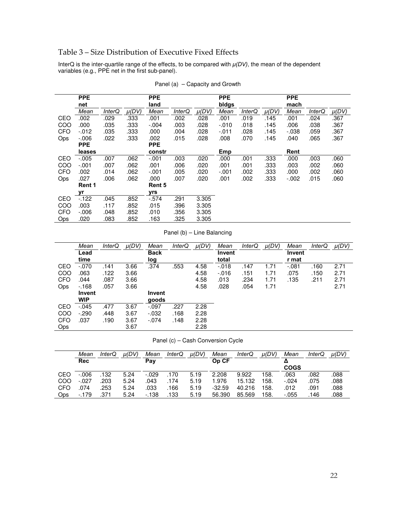# Table 3 – Size Distribution of Executive Fixed Effects

InterQ is the inter-quartile range of the effects, to be compared with *μ(DV)*, the mean of the dependent variables (e.g., PPE net in the first sub-panel).

|            | <b>PPE</b> |               |           | <b>PPE</b> |               |           | <b>PPE</b> |               |           | <b>PPE</b> |               |           |
|------------|------------|---------------|-----------|------------|---------------|-----------|------------|---------------|-----------|------------|---------------|-----------|
|            | net        |               |           | land       |               |           | bidgs      |               |           | mach       |               |           |
|            | Mean       | <b>InterQ</b> | $\mu(DV)$ | Mean       | <b>InterQ</b> | $\mu(DV)$ | Mean       | <b>InterQ</b> | $\mu(DV)$ | Mean       | <i>InterQ</i> | $\mu(DV)$ |
| CEO        | .002       | .029          | .333      | .001       | .002          | .028      | .001       | .019          | .145      | .001       | .024          | .367      |
| COO        | .000       | .035          | .333      | $-.004$    | .003          | .028      | $-.010$    | .018          | .145      | .006       | .038          | .367      |
| <b>CFO</b> | $-012$     | .035          | .333      | .000       | .004          | .028      | $-.011$    | .028          | .145      | $-0.038$   | .059          | .367      |
| Ops        | $-0.06$    | .022          | .333      | .002       | .015          | .028      | .008       | .070          | .145      | .040       | .065          | .367      |
|            | <b>PPE</b> |               |           | <b>PPE</b> |               |           |            |               |           |            |               |           |
|            | leases     |               |           | constr     |               |           | Emp        |               |           | Rent       |               |           |
| CEO        | $-.005$    | .007          | .062      | $-.001$    | .003          | .020      | .000       | .001          | .333      | .000       | .003          | .060      |
| COO        | $-.001$    | .007          | .062      | .001       | .006          | .020      | .001       | .001          | .333      | .003       | .002          | .060      |
| <b>CFO</b> | .002       | .014          | .062      | $-.001$    | .005          | .020      | -.001      | .002          | .333      | .000       | .002          | .060      |
| Ops        | .027       | .006          | .062      | .000       | .007          | .020      | .001       | .002          | .333      | $-.002$    | .015          | .060      |
|            | Rent 1     |               |           | Rent 5     |               |           |            |               |           |            |               |           |
|            | vr         |               |           | yrs        |               |           |            |               |           |            |               |           |
| CEO        | $-122$     | .045          | .852      | $-574$     | .291          | 3.305     |            |               |           |            |               |           |
| COO        | .003       | .117          | .852      | .015       | .396          | 3.305     |            |               |           |            |               |           |
| <b>CFO</b> | $-0.06$    | .048          | .852      | .010       | .356          | 3.305     |            |               |           |            |               |           |
| Ops        | .020       | .083          | .852      | .163       | .325          | 3.305     |            |               |           |            |               |           |

Panel (a) – Capacity and Growth

Panel (b) – Line Balancing

|            | Mean          | <b>InterQ</b> | $\mu(DV)$ | Mean        | <i>InterQ</i> | $\mu(DV)$ | Mean     | <i>InterQ</i> | $\mu(DV)$ | Mean    | <i>InterQ</i> | $\mu(DV)$ |
|------------|---------------|---------------|-----------|-------------|---------------|-----------|----------|---------------|-----------|---------|---------------|-----------|
|            | Lead          |               |           | <b>Back</b> |               |           | Invent   |               |           | Invent  |               |           |
|            | time          |               |           | log         |               |           | total    |               |           | r mat   |               |           |
| CEO        | $-.070$       | .141          | 3.66      | .374        | .553          | 4.58      | $-0.018$ | .147          | 1.71      | $-.081$ | .160          | 2.71      |
| COO        | .063          | .122          | 3.66      |             |               | 4.58      | $-0.016$ | .151          | 1.71      | .075    | .150          | 2.71      |
| <b>CFO</b> | .044          | .087          | 3.66      |             |               | 4.58      | .013     | .234          | 1.71      | .135    | .211          | 2.71      |
| Ops        | $-168$        | .057          | 3.66      |             |               | 4.58      | .028     | .054          | 1.71      |         |               | 2.71      |
|            | <b>Invent</b> |               |           | Invent      |               |           |          |               |           |         |               |           |
|            | <b>WIP</b>    |               |           | goods       |               |           |          |               |           |         |               |           |
| CEO        | $-.045$       | .477          | 3.67      | $-.097$     | .227          | 2.28      |          |               |           |         |               |           |
| COO        | $-290$        | .448          | 3.67      | $-0.032$    | .168          | 2.28      |          |               |           |         |               |           |
| <b>CFO</b> | .037          | .190          | 3.67      | $-.074$     | .148          | 2.28      |          |               |           |         |               |           |
| <b>Ops</b> |               |               | 3.67      |             |               | 2.28      |          |               |           |         |               |           |

Panel (c) – Cash Conversion Cycle

|     | Mean       | InterQ | $\mu(DV)$ | Mean    | InterQ | µ(DV) | Mean     | InterQ | $\mu(DV)$ | Mean        | InterQ | µ(DV) |
|-----|------------|--------|-----------|---------|--------|-------|----------|--------|-----------|-------------|--------|-------|
|     | <b>Rec</b> |        |           | Pay     |        |       | Op CF    |        |           |             |        |       |
|     |            |        |           |         |        |       |          |        |           | <b>COGS</b> |        |       |
| CEO | $-0.06$    | 132    | 5.24      | $-.029$ | ۱70    | 5.19  | 2.208    | 9.922  | 158.      | .063        | .082   | .088  |
| COO | $-027$     | .203   | 5.24      | 043     | 174    | 5.19  | l.976    | 15.132 | 158.      | $-.024$     | 075    | .088  |
| CFO | 074        | .253   | 5.24      | 033     | 166    | 5.19  | $-32.59$ | 40.216 | 158.      | .012        | 091    | .088  |
| Ops | $-179$     | .371   | 5.24      | $-138$  | 133    | 5.19  | 56.390   | 85.569 | 158.      | -.055       | .146   | .088  |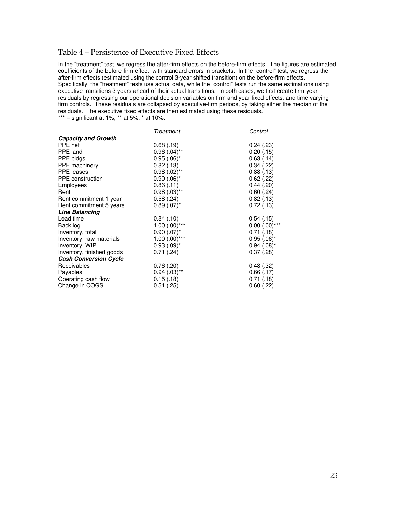# Table 4 – Persistence of Executive Fixed Effects

In the "treatment" test, we regress the after-firm effects on the before-firm effects. The figures are estimated coefficients of the before-firm effect, with standard errors in brackets. In the "control" test, we regress the after-firm effects (estimated using the control 3-year shifted transition) on the before-firm effects. Specifically, the "treatment" tests use actual data, while the "control" tests run the same estimations using executive transitions 3 years ahead of their actual transitions. In both cases, we first create firm-year residuals by regressing our operational decision variables on firm and year fixed effects, and time-varying firm controls. These residuals are collapsed by executive-firm periods, by taking either the median of the residuals. The executive fixed effects are then estimated using these residuals.

\*\*\* = significant at 1%, \*\* at 5%, \* at 10%.

|                              | Treatment          | Control            |
|------------------------------|--------------------|--------------------|
| <b>Capacity and Growth</b>   |                    |                    |
| PPE net                      | 0.68(0.19)         | 0.24(0.23)         |
| PPE land                     | $0.96$ $(.04)$ **  | 0.20(0.15)         |
| PPE bldgs                    | $0.95(.06)^*$      | 0.63(0.14)         |
| PPE machinery                | 0.82(0.13)         | 0.34(.22)          |
| <b>PPE</b> leases            | $0.98$ $(.02)$ **  | 0.88(0.13)         |
| <b>PPE</b> construction      | $0.90(.06)^*$      | $0.62$ (.22)       |
| Employees                    | 0.86(0.11)         | 0.44(.20)          |
| Rent                         | $0.98$ $(.03)$ **  | $0.60$ $(.24)$     |
| Rent commitment 1 year       | 0.58(.24)          | 0.82(0.13)         |
| Rent commitment 5 years      | $0.89(.07)^*$      | 0.72(.13)          |
| <b>Line Balancing</b>        |                    |                    |
| Lead time                    | 0.84(0.10)         | 0.54(0.15)         |
| Back log                     | $1.00$ $(.00)$ *** | $0.00$ $(.00)$ *** |
| Inventory, total             | $0.90$ $(.07)^*$   | 0.71(0.18)         |
| Inventory, raw materials     | $1.00$ $(.00)$ *** | $0.95(.06)^*$      |
| Inventory, WIP               | $0.93$ $(.09)^*$   | $0.94$ $(.08)^*$   |
| Inventory, finished goods    | 0.71(.24)          | 0.37(0.28)         |
| <b>Cash Conversion Cycle</b> |                    |                    |
| Receivables                  | 0.76(.20)          | 0.48(.32)          |
| Payables                     | $0.94$ $(.03)$ **  | 0.66(0.17)         |
| Operating cash flow          | 0.15(0.18)         | 0.71(0.18)         |
| Change in COGS               | $0.51$ $(.25)$     | $0.60$ $(.22)$     |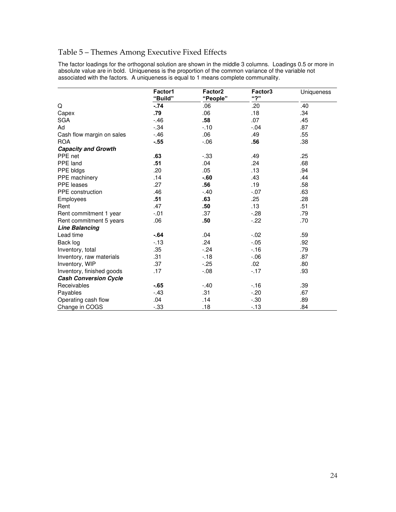# Table 5 – Themes Among Executive Fixed Effects

The factor loadings for the orthogonal solution are shown in the middle 3 columns. Loadings 0.5 or more in absolute value are in bold. Uniqueness is the proportion of the common variance of the variable not associated with the factors. A uniqueness is equal to 1 means complete communality.

|                              | Factor1<br>"Build" | Factor <sub>2</sub><br>"People" | Factor3<br>"2" | Uniqueness |
|------------------------------|--------------------|---------------------------------|----------------|------------|
| Q                            | $-74$              | .06                             | .20            | .40        |
| Capex                        | .79                | .06                             | .18            | .34        |
| <b>SGA</b>                   | $-46$              | .58                             | .07            | .45        |
| Ad                           | $-34$              | $-10$                           | $-.04$         | .87        |
| Cash flow margin on sales    | $-46$              | .06                             | .49            | .55        |
| <b>ROA</b>                   | $-55$              | $-0.06$                         | .56            | .38        |
| <b>Capacity and Growth</b>   |                    |                                 |                |            |
| PPE net                      | .63                | $-33$                           | .49            | .25        |
| PPE land                     | .51                | .04                             | .24            | .68        |
| PPE bldgs                    | .20                | .05                             | .13            | .94        |
| PPE machinery                | .14                | $-60$                           | .43            | .44        |
| <b>PPE</b> leases            | .27                | .56                             | .19            | .58        |
| <b>PPE</b> construction      | .46                | $-.40$                          | $-.07$         | .63        |
| Employees                    | .51                | .63                             | .25            | .28        |
| Rent                         | .47                | .50                             | .13            | .51        |
| Rent commitment 1 year       | $-.01$             | .37                             | $-.28$         | .79        |
| Rent commitment 5 years      | .06                | .50                             | $-22$          | .70        |
| <b>Line Balancing</b>        |                    |                                 |                |            |
| Lead time                    | $-.64$             | .04                             | $-.02$         | .59        |
| Back log                     | $-13$              | .24                             | $-0.05$        | .92        |
| Inventory, total             | .35                | $-.24$                          | $-16$          | .79        |
| Inventory, raw materials     | .31                | $-18$                           | $-0.06$        | .87        |
| Inventory, WIP               | .37                | $-25$                           | .02            | .80        |
| Inventory, finished goods    | .17                | $-.08$                          | $-17$          | .93        |
| <b>Cash Conversion Cycle</b> |                    |                                 |                |            |
| Receivables                  | $-65$              | $-.40$                          | $-16$          | .39        |
| Payables                     | $-43$              | .31                             | $-.20$         | .67        |
| Operating cash flow          | .04                | .14                             | $-.30$         | .89        |
| Change in COGS               | $-33$              | .18                             | $-13$          | .84        |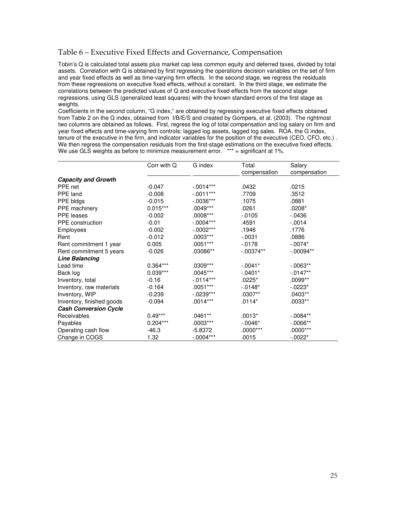# Table 6 – Executive Fixed Effects and Governance, Compensation

Tobin's Q is calculated total assets plus market cap less common equity and deferred taxes, divided by total assets. Correlation with Q is obtained by first regressing the operations decision variables on the set of firm and year fixed effects as well as time-varying firm effects. In the second stage, we regress the residuals from these regressions on executive fixed effects, without a constant. In the third stage, we estimate the correlations between the predicted values of Q and executive fixed effects from the second stage regressions, using GLS (generalized least squares) with the known standard errors of the first stage as weights.

Coefficients in the second column, "G index," are obtained by regressing executive fixed effects obtained from Table 2 on the G index, obtained from I/B/E/S and created by Gompers, et al. (2003). The rightmost two columns are obtained as follows. First, regress the log of total compensation and log salary on firm and year fixed effects and time-varying firm controls: lagged log assets, lagged log sales. ROA, the G index, tenure of the executive in the firm, and indicator variables for the position of the executive (CEO, CFO, etc.) . We then regress the compensation residuals from the first-stage estimations on the executive fixed effects. We use GLS weights as before to minimize measurement error.  $***$  = significant at 1%.

|                              | Corr with Q | G index     | Total        | Salary       |
|------------------------------|-------------|-------------|--------------|--------------|
|                              |             |             | compensation | compensation |
| <b>Capacity and Growth</b>   |             |             |              |              |
| PPE net                      | $-0.047$    | $-.0014***$ | .0432        | .0215        |
| PPE land                     | $-0.008$    | $-.0011***$ | .7709        | .3512        |
| PPE bldgs                    | $-0.015$    | $-.0036***$ | .1075        | .0881        |
| <b>PPE</b> machinery         | $0.015***$  | $.0049***$  | .0261        | $.0208*$     |
| <b>PPE</b> leases            | $-0.002$    | $.0008***$  | $-0.0105$    | $-0436$      |
| PPE construction             | $-0.01$     | $-.0004***$ | .4591        | $-0014$      |
| Employees                    | $-0.002$    | $-0.002***$ | .1946        | .1776        |
| Rent                         | $-0.012$    | $.0003***$  | $-.0031$     | .0886        |
| Rent commitment 1 year       | 0.005       | $.0051***$  | $-0178$      | $-.0074*$    |
| Rent commitment 5 years      | $-0.026$    | .03086**    | $-.00374**$  | $-.00094**$  |
| <b>Line Balancing</b>        |             |             |              |              |
| Lead time                    | $0.364***$  | $.0309***$  | $-0.041*$    | $-0.063**$   |
| Back log                     | $0.039***$  | $.0045***$  | $-0.0401*$   | $-0.0147**$  |
| Inventory, total             | $-0.16$     | $-.0114***$ | $.0225*$     | .0099**      |
| Inventory, raw materials     | $-0.164$    | $.0051***$  | $-0.0148*$   | $-0223*$     |
| Inventory, WIP               | $-0.239$    | $-.0239***$ | $.0307**$    | .0403**      |
| Inventory, finished goods    | $-0.094$    | .0014***    | $.0114*$     | $.0033**$    |
| <b>Cash Conversion Cycle</b> |             |             |              |              |
| Receivables                  | $0.49***$   | $.0461**$   | $.0013*$     | $-0.0084**$  |
| Payables                     | $0.204***$  | $.0003***$  | $-0.0046*$   | $-0.0066**$  |
| Operating cash flow          | $-46.3$     | $-5.8372$   | $.0000***$   | $.0000***$   |
| Change in COGS               | 1.32        | $-.0004***$ | .0015        | $-0.0022*$   |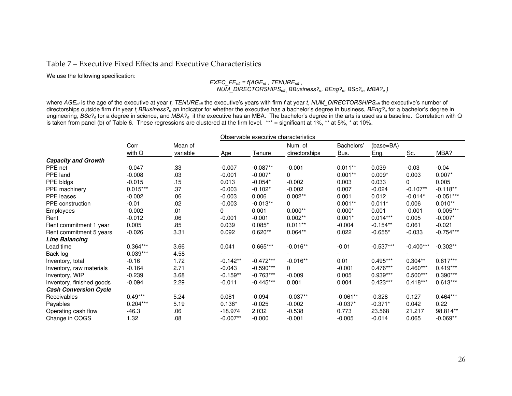# Table 7 – Executive Fixed Effects and Executive Characteristics

We use the following specification:

*EXEC\_FEeft = f(AGEet , TENUREeft , NUM\_DIRECTORSHIPSeft , BBusiness?e, BEng?e, BSc?e, MBA?e )* 

where *AGEet* is the age of the executive at year *t, TENUREeft* the executive's years with firm *f* at year *t*, *NUM\_DIRECTORSHIPSeft* the executive's number of directorships outside firm *f* in year *t, BBusiness?e* an indicator for whether the executive has a bachelor's degree in business, *BEng?e* for a bachelor's degree in engineering, *BSc?e* for a degree in science, and *MBA?e* if the executive has an MBA. The bachelor's degree in the arts is used as a baseline. Correlation with Q is taken from panel (b) of Table 6. These regressions are clustered at the firm level. \*\*\* = significant at  $1\%$ , \*\* at 5%, \* at 10%.

|                              |            |          | Observable executive characteristics |             |               |            |             |             |             |  |
|------------------------------|------------|----------|--------------------------------------|-------------|---------------|------------|-------------|-------------|-------------|--|
|                              | Corr       | Mean of  |                                      |             | Num. of       | Bachelors' | (base=BA)   |             |             |  |
|                              | with Q     | variable | Age                                  | Tenure      | directorships | Bus.       | Eng.        | Sc.         | MBA?        |  |
| <b>Capacity and Growth</b>   |            |          |                                      |             |               |            |             |             |             |  |
| PPE net                      | $-0.047$   | .33      | $-0.007$                             | $-0.087**$  | $-0.001$      | $0.011**$  | 0.039       | $-0.03$     | $-0.04$     |  |
| PPE land                     | $-0.008$   | .03      | $-0.001$                             | $-0.007*$   | $\Omega$      | $0.001**$  | $0.009*$    | 0.003       | $0.007*$    |  |
| PPE bldgs                    | $-0.015$   | .15      | 0.013                                | $-0.054*$   | $-0.002$      | 0.003      | 0.033       | 0           | 0.005       |  |
| <b>PPE</b> machinery         | $0.015***$ | .37      | $-0.003$                             | $-0.102*$   | $-0.002$      | 0.007      | $-0.024$    | $-0.107**$  | $-0.118**$  |  |
| PPE leases                   | $-0.002$   | .06      | $-0.003$                             | 0.006       | $0.002**$     | 0.001      | 0.012       | $-0.014*$   | $-0.051***$ |  |
| PPE construction             | $-0.01$    | .02      | $-0.003$                             | $-0.013**$  | $\Omega$      | $0.001**$  | $0.011*$    | 0.006       | $0.010**$   |  |
| Employees                    | $-0.002$   | .01      | $\Omega$                             | 0.001       | $0.000**$     | $0.000*$   | 0.001       | $-0.001$    | $-0.005***$ |  |
| Rent                         | $-0.012$   | .06      | $-0.001$                             | $-0.001$    | $0.002**$     | $0.001*$   | $0.014***$  | 0.005       | $-0.007*$   |  |
| Rent commitment 1 year       | 0.005      | .85      | 0.039                                | $0.085*$    | $0.011**$     | $-0.004$   | $-0.154**$  | 0.061       | $-0.021$    |  |
| Rent commitment 5 years      | $-0.026$   | 3.31     | 0.092                                | $0.620**$   | $0.064**$     | 0.022      | $-0.655*$   | $-0.033$    | $-0.754***$ |  |
| <b>Line Balancing</b>        |            |          |                                      |             |               |            |             |             |             |  |
| Lead time                    | $0.364***$ | 3.66     | 0.041                                | 0.665***    | $-0.016**$    | $-0.01$    | $-0.537***$ | $-0.400***$ | $-0.302**$  |  |
| Back log                     | $0.039***$ | 4.58     |                                      |             |               |            |             |             |             |  |
| Inventory, total             | $-0.16$    | 1.72     | $-0.142**$                           | $-0.472***$ | $-0.016**$    | 0.01       | $0.495***$  | $0.304**$   | $0.617***$  |  |
| Inventory, raw materials     | $-0.164$   | 2.71     | $-0.043$                             | $-0.590***$ | $\mathbf{0}$  | $-0.001$   | $0.476***$  | $0.460***$  | $0.419***$  |  |
| Inventory, WIP               | $-0.239$   | 3.68     | $-0.159**$                           | $-0.763***$ | $-0.009$      | 0.005      | $0.939***$  | $0.500***$  | $0.390***$  |  |
| Inventory, finished goods    | $-0.094$   | 2.29     | $-0.011$                             | $-0.445***$ | 0.001         | 0.004      | $0.423***$  | $0.418***$  | $0.613***$  |  |
| <b>Cash Conversion Cycle</b> |            |          |                                      |             |               |            |             |             |             |  |
| Receivables                  | $0.49***$  | 5.24     | 0.081                                | $-0.094$    | $-0.037**$    | $-0.061**$ | $-0.328$    | 0.127       | $0.464***$  |  |
| Payables                     | $0.204***$ | 5.19     | $0.138*$                             | $-0.025$    | $-0.002$      | $-0.037*$  | $-0.371*$   | 0.042       | 0.22        |  |
| Operating cash flow          | $-46.3$    | .06      | $-18.974$                            | 2.032       | $-0.538$      | 0.773      | 23.568      | 21.217      | 98.814**    |  |
| Change in COGS               | 1.32       | .08      | $-0.007**$                           | $-0.000$    | $-0.001$      | $-0.005$   | $-0.014$    | 0.065       | $-0.069**$  |  |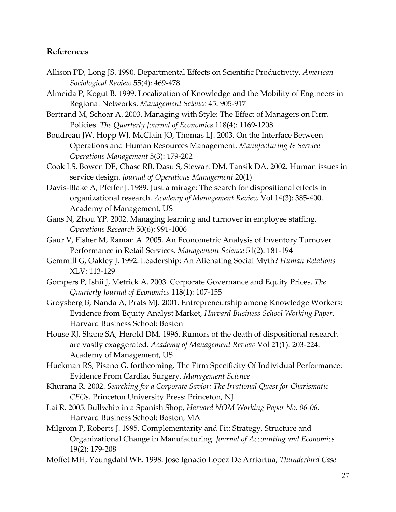# **References**

- Allison PD, Long JS. 1990. Departmental Effects on Scientific Productivity. *American Sociological Review* 55(4): 469‐478
- Almeida P, Kogut B. 1999. Localization of Knowledge and the Mobility of Engineers in Regional Networks. *Management Science* 45: 905‐917
- Bertrand M, Schoar A. 2003. Managing with Style: The Effect of Managers on Firm Policies. *The Quarterly Journal of Economics* 118(4): 1169‐1208
- Boudreau JW, Hopp WJ, McClain JO, Thomas LJ. 2003. On the Interface Between Operations and Human Resources Management. *Manufacturing & Service Operations Management* 5(3): 179‐202
- Cook LS, Bowen DE, Chase RB, Dasu S, Stewart DM, Tansik DA. 2002. Human issues in service design. *Journal of Operations Management* 20(1)
- Davis‐Blake A, Pfeffer J. 1989. Just a mirage: The search for dispositional effects in organizational research. *Academy of Management Review* Vol 14(3): 385‐400. Academy of Management, US
- Gans N, Zhou YP. 2002. Managing learning and turnover in employee staffing. *Operations Research* 50(6): 991‐1006
- Gaur V, Fisher M, Raman A. 2005. An Econometric Analysis of Inventory Turnover Performance in Retail Services. *Management Science* 51(2): 181‐194
- Gemmill G, Oakley J. 1992. Leadership: An Alienating Social Myth? *Human Relations* XLV: 113‐129
- Gompers P, Ishii J, Metrick A. 2003. Corporate Governance and Equity Prices. *The Quarterly Journal of Economics* 118(1): 107‐155
- Groysberg B, Nanda A, Prats MJ. 2001. Entrepreneurship among Knowledge Workers: Evidence from Equity Analyst Market, *Harvard Business School Working Paper*. Harvard Business School: Boston
- House RJ, Shane SA, Herold DM. 1996. Rumors of the death of dispositional research are vastly exaggerated. *Academy of Management Review* Vol 21(1): 203‐224. Academy of Management, US
- Huckman RS, Pisano G. forthcoming. The Firm Specificity Of Individual Performance: Evidence From Cardiac Surgery. *Management Science*
- Khurana R. 2002. *Searching for a Corporate Savior: The Irrational Quest for Charismatic CEOs*. Princeton University Press: Princeton, NJ
- Lai R. 2005. Bullwhip in a Spanish Shop, *Harvard NOM Working Paper No. 06‐06*. Harvard Business School: Boston, MA
- Milgrom P, Roberts J. 1995. Complementarity and Fit: Strategy, Structure and Organizational Change in Manufacturing. *Journal of Accounting and Economics* 19(2): 179‐208
- Moffet MH, Youngdahl WE. 1998. Jose Ignacio Lopez De Arriortua, *Thunderbird Case*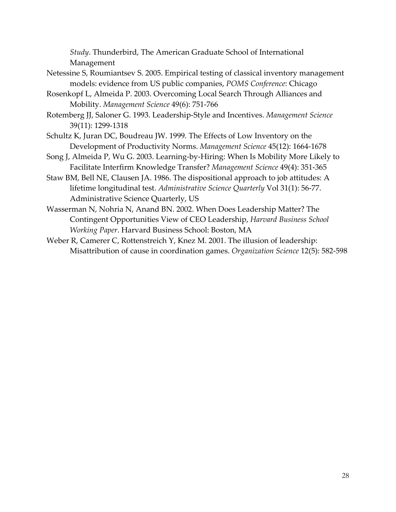*Study*. Thunderbird, The American Graduate School of International Management

- Netessine S, Roumiantsev S. 2005. Empirical testing of classical inventory management models: evidence from US public companies, *POMS Conference*: Chicago
- Rosenkopf L, Almeida P. 2003. Overcoming Local Search Through Alliances and Mobility. *Management Science* 49(6): 751‐766
- Rotemberg JJ, Saloner G. 1993. Leadership‐Style and Incentives. *Management Science* 39(11): 1299‐1318
- Schultz K, Juran DC, Boudreau JW. 1999. The Effects of Low Inventory on the Development of Productivity Norms. *Management Science* 45(12): 1664‐1678
- Song J, Almeida P, Wu G. 2003. Learning‐by‐Hiring: When Is Mobility More Likely to Facilitate Interfirm Knowledge Transfer? *Management Science* 49(4): 351‐365
- Staw BM, Bell NE, Clausen JA. 1986. The dispositional approach to job attitudes: A lifetime longitudinal test. *Administrative Science Quarterly* Vol 31(1): 56‐77. Administrative Science Quarterly, US
- Wasserman N, Nohria N, Anand BN. 2002. When Does Leadership Matter? The Contingent Opportunities View of CEO Leadership, *Harvard Business School Working Paper*. Harvard Business School: Boston, MA
- Weber R, Camerer C, Rottenstreich Y, Knez M. 2001. The illusion of leadership: Misattribution of cause in coordination games. *Organization Science* 12(5): 582‐598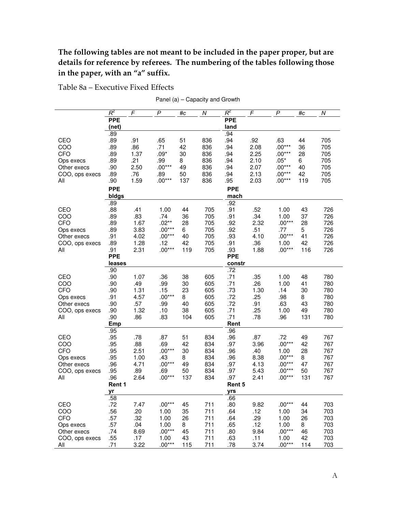# **The following tables are not meant to be included in the paper proper, but are details for reference by referees. The numbering of the tables following those in the paper, with an "a" suffix.**

Table 8a – Executive Fixed Effects

Panel (a) – Capacity and Growth

|                               | $R^2$               | $\digamma$   | P               | #c        | $\boldsymbol{N}$ | $R^2$              | F            | P                | #c        | $\cal N$   |
|-------------------------------|---------------------|--------------|-----------------|-----------|------------------|--------------------|--------------|------------------|-----------|------------|
|                               | <b>PPE</b>          |              |                 |           |                  | <b>PPE</b>         |              |                  |           |            |
|                               | (net)<br>.89        |              |                 |           |                  | land<br>.94        |              |                  |           |            |
| CEO                           | .89                 | .91          | .65             | 51        | 836              | .94                | .92          | .63              | 44        | 705        |
| COO                           | .89                 | .86          | .71             | 42        | 836              | .94                | 2.08         | $.00***$         | 36        | 705        |
| CFO                           | .89                 | 1.37         | $.09*$          | 30        | 836              | .94                | 2.25         | $.00***$         | 28        | 705        |
| Ops execs                     | .89                 | .21          | .99             | 8         | 836              | .94                | 2.10         | $.05*$           | 6         | 705        |
| Other execs                   | .90                 | 2.50         | $.00***$        | 49        | 836              | .94                | 2.07         | $.00***$         | 40        | 705        |
| COO, ops execs                | .89                 | .76          | .89             | 50        | 836              | .94                | 2.13         | $.00***$         | 42        | 705        |
| All                           | .90                 | 1.59         | $.00***$        | 137       | 836              | .95                | 2.03         | $.00***$         | 119       | 705        |
|                               | <b>PPE</b><br>bldgs |              |                 |           |                  | <b>PPE</b><br>mach |              |                  |           |            |
|                               | .89                 |              |                 |           |                  | .92                |              |                  |           |            |
| CEO                           | .88                 | .41          | 1.00            | 44        | 705              | .91                | .52          | 1.00             | 43        | 726        |
| COO                           | .89                 | .83          | .74             | 36        | 705              | .91                | .34          | 1.00             | 37        | 726        |
| CFO                           | .89                 | 1.67         | $.02**$         | 28        | 705              | .92                | 2.32         | $.00***$         | 28        | 726        |
| Ops execs                     | .89                 | 3.83         | $.00***$        | 6         | 705              | .92                | .51          | .77              | 5         | 726        |
| Other execs                   | .91                 | 4.02         | $.00***$        | 40        | 705              | .93                | 4.10         | $.00***$         | 41        | 726        |
| COO, ops execs<br>All         | .89<br>.91          | 1.28<br>2.31 | .12<br>$.00***$ | 42<br>119 | 705<br>705       | .91<br>.93         | .36<br>1.88  | 1.00<br>$.00***$ | 42<br>116 | 726<br>726 |
|                               | <b>PPE</b>          |              |                 |           |                  | <b>PPE</b>         |              |                  |           |            |
|                               | leases              |              |                 |           |                  | constr             |              |                  |           |            |
|                               | .90                 |              |                 |           |                  | .72                |              |                  |           |            |
| CEO                           | .90                 | 1.07         | .36             | 38        | 605              | .71                | .35          | 1.00             | 48        | 780        |
| COO                           | .90                 | .49          | .99             | 30        | 605              | .71                | .26          | 1.00             | 41        | 780        |
| CFO                           | .90                 | 1.31         | .15             | 23        | 605              | .73                | 1.30         | .14              | 30        | 780        |
| Ops execs                     | .91<br>.90          | 4.57<br>.57  | $.00***$<br>.99 | 8<br>40   | 605<br>605       | .72<br>.72         | .25<br>.91   | .98<br>.63       | 8<br>43   | 780<br>780 |
| Other execs<br>COO, ops execs | .90                 | 1.32         | .10             | 38        | 605              | .71                | .25          | 1.00             | 49        | 780        |
| All                           | .90                 | .86          | .83             | 104       | 605              | .71                | .78          | .96              | 131       | 780        |
|                               | Emp                 |              |                 |           |                  | Rent               |              |                  |           |            |
|                               | .95                 |              |                 |           |                  | .96                |              |                  |           |            |
| CEO                           | .95                 | .78          | .87             | 51        | 834              | .96                | .87          | .72              | 49        | 767        |
| COO                           | .95                 | .88          | .69             | 42        | 834              | .97                | 3.96         | $.00***$         | 42        | 767        |
| CFO                           | .95<br>.95          | 2.51         | $.00***$<br>.43 | 30        | 834<br>834       | .96                | .40          | 1.00<br>$.00***$ | 28        | 767        |
| Ops execs<br>Other execs      | .96                 | 1.00<br>4.71 | $.00***$        | 8<br>49   | 834              | .96<br>.97         | 8.38<br>4.13 | $.00***$         | 8<br>47   | 767<br>767 |
| COO, ops execs                | .95                 | .89          | .69             | 50        | 834              | .97                | 5.43         | $.00***$         | 50        | 767        |
| All                           | .96                 | 2.64         | $.00***$        | 137       | 834              | .97                | 2.41         | $.00***$         | 131       | 767        |
|                               | Rent 1              |              |                 |           |                  | Rent 5             |              |                  |           |            |
|                               | yr                  |              |                 |           |                  | yrs                |              |                  |           |            |
|                               | .58                 |              |                 |           |                  | .66                |              |                  |           |            |
| CEO                           | .72                 | 7.47         | $.00***$        | 45        | 711              | .80                | 9.82         | $.00***$         | 44        | 703        |
| COO<br>CFO                    | .56                 | .20          | 1.00<br>1.00    | 35<br>26  | 711<br>711       | .64                | .12<br>.29   | 1.00<br>1.00     | 34<br>26  | 703<br>703 |
| Ops execs                     | .57<br>.57          | .32<br>.04   | 1.00            | 8         | 711              | .64<br>.65         | .12          | 1.00             | 8         | 703        |
| Other execs                   | .74                 | 8.69         | $.00***$        | 45        | 711              | .80                | 9.84         | $.00***$         | 46        | 703        |
| COO, ops execs                | .55                 | .17          | 1.00            | 43        | 711              | .63                | .11          | 1.00             | 42        | 703        |
| All                           | .71                 | 3.22         | $.00***$        | 115       | 711              | .78                | 3.74         | $.00***$         | 114       | 703        |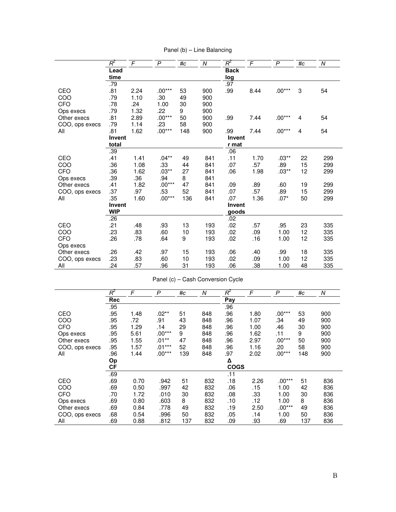|                | $R^2$      | $\mathsf{F}$ | $\mathsf{P}$ | #c  | Ν   | $R^2$       | F    | $\mathsf{P}$ | #c | N   |
|----------------|------------|--------------|--------------|-----|-----|-------------|------|--------------|----|-----|
|                | Lead       |              |              |     |     | <b>Back</b> |      |              |    |     |
|                | time       |              |              |     |     | log         |      |              |    |     |
|                | .79        |              |              |     |     | .97         |      |              |    |     |
| CEO            | .81        | 2.24         | $.00***$     | 53  | 900 | .99         | 8.44 | $.00***$     | 3  | 54  |
| COO            | .79        | 1.10         | .30          | 49  | 900 |             |      |              |    |     |
| <b>CFO</b>     | .78        | .24          | 1.00         | 30  | 900 |             |      |              |    |     |
| Ops execs      | .79        | 1.32         | .22          | 9   | 900 |             |      |              |    |     |
| Other execs    | .81        | 2.89         | $.00***$     | 50  | 900 | .99         | 7.44 | $.00***$     | 4  | 54  |
| COO, ops execs | .79        | 1.14         | .23          | 58  | 900 |             |      |              |    |     |
| All            | .81        | 1.62         | $.00***$     | 148 | 900 | .99         | 7.44 | $.00***$     | 4  | 54  |
|                | Invent     |              |              |     |     | Invent      |      |              |    |     |
|                | total      |              |              |     |     | r mat       |      |              |    |     |
|                | .39        |              |              |     |     | .06         |      |              |    |     |
| CEO            | .41        | 1.41         | $.04**$      | 49  | 841 | .11         | 1.70 | $.03**$      | 22 | 299 |
| COO            | .36        | 1.08         | .33          | 44  | 841 | .07         | .57  | .89          | 15 | 299 |
| <b>CFO</b>     | .36        | 1.62         | $.03**$      | 27  | 841 | .06         | 1.98 | $.03**$      | 12 | 299 |
| Ops execs      | .39        | .36          | .94          | 8   | 841 |             |      |              |    |     |
| Other execs    | .41        | 1.82         | $.00***$     | 47  | 841 | .09         | .89  | .60          | 19 | 299 |
| COO, ops execs | .37        | .97          | .53          | 52  | 841 | .07         | .57  | .89          | 15 | 299 |
| All            | .35        | 1.60         | $.00***$     | 136 | 841 | .07         | 1.36 | $.07*$       | 50 | 299 |
|                | Invent     |              |              |     |     | Invent      |      |              |    |     |
|                | <b>WIP</b> |              |              |     |     | goods       |      |              |    |     |
|                | .26        |              |              |     |     | .02         |      |              |    |     |
| CEO            | .21        | .48          | .93          | 13  | 193 | .02         | .57  | .95          | 23 | 335 |
| COO            | .23        | .83          | .60          | 10  | 193 | .02         | .09  | 1.00         | 12 | 335 |
| <b>CFO</b>     | .26        | .78          | .64          | 9   | 193 | .02         | .16  | 1.00         | 12 | 335 |
| Ops execs      |            |              |              |     |     |             |      |              |    |     |
| Other execs    | .26        | .42          | .97          | 15  | 193 | .06         | .40  | .99          | 18 | 335 |
| COO, ops execs | .23        | .83          | .60          | 10  | 193 | .02         | .09  | 1.00         | 12 | 335 |
| All            | .24        | .57          | .96          | 31  | 193 | .06         | .38  | 1.00         | 48 | 335 |

Panel (b) – Line Balancing

| Panel (c) - Cash Conversion Cycle |  |
|-----------------------------------|--|
|-----------------------------------|--|

|                | $R^2$      | F    | P        | #c  | N   | $R^2$       | F    | P        | #c  | $\overline{N}$ |
|----------------|------------|------|----------|-----|-----|-------------|------|----------|-----|----------------|
|                | <b>Rec</b> |      |          |     |     | Pay         |      |          |     |                |
|                | .95        |      |          |     |     | .96         |      |          |     |                |
| CEO            | .95        | 1.48 | $.02**$  | 51  | 848 | .96         | 1.80 | $.00***$ | 53  | 900            |
| COO            | .95        | .72  | .91      | 43  | 848 | .96         | 1.07 | .34      | 49  | 900            |
| <b>CFO</b>     | .95        | 1.29 | .14      | 29  | 848 | .96         | 1.00 | .46      | 30  | 900            |
| Ops execs      | .95        | 5.61 | $.00***$ | 9   | 848 | .96         | 1.62 | .11      | 9   | 900            |
| Other execs    | .95        | 1.55 | $.01***$ | 47  | 848 | .96         | 2.97 | $.00***$ | 50  | 900            |
| COO, ops execs | .95        | 1.57 | $.01***$ | 52  | 848 | .96         | 1.16 | .20      | 58  | 900            |
| All            | .96        | 1.44 | $.00***$ | 139 | 848 | .97         | 2.02 | $.00***$ | 148 | 900            |
|                | Op         |      |          |     |     | Δ           |      |          |     |                |
|                | СF         |      |          |     |     | <b>COGS</b> |      |          |     |                |
|                | .69        |      |          |     |     | .11         |      |          |     |                |
| CEO            | .69        | 0.70 | .942     | 51  | 832 | .18         | 2.26 | $.00***$ | 51  | 836            |
| COO            | .69        | 0.50 | .997     | 42  | 832 | .06         | .15  | 1.00     | 42  | 836            |
| CFO            | .70        | 1.72 | .010     | 30  | 832 | .08         | .33  | 1.00     | 30  | 836            |
| Ops execs      | .69        | 0.80 | .603     | 8   | 832 | .10         | .12  | 1.00     | 8   | 836            |
| Other execs    | .69        | 0.84 | .778     | 49  | 832 | .19         | 2.50 | $.00***$ | 49  | 836            |
| COO, ops execs | .68        | 0.54 | .996     | 50  | 832 | .05         | .14  | 1.00     | 50  | 836            |
| All            | .69        | 0.88 | .812     | 137 | 832 | .09         | .93  | .69      | 137 | 836            |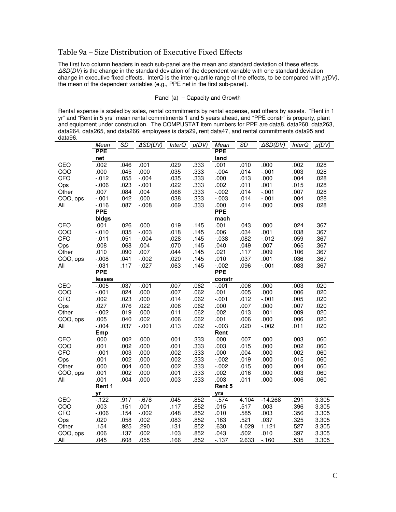# Table 9a – Size Distribution of Executive Fixed Effects

The first two column headers in each sub-panel are the mean and standard deviation of these effects. *ΔSD*(*DV*) is the change in the standard deviation of the dependent variable with one standard deviation change in executive fixed effects. InterQ is the inter-quartile range of the effects, to be compared with *μ(DV)*, the mean of the dependent variables (e.g., PPE net in the first sub-panel).

#### Panel (a) – Capacity and Growth

Rental expense is scaled by sales, rental commitments by rental expense, and others by assets. "Rent in 1 yr" and "Rent in 5 yrs" mean rental commitments 1 and 5 years ahead, and "PPE constr" is property, plant and equipment under construction. The COMPUSTAT item numbers for PPE are data8, data260, data263, data264, data265, and data266; employees is data29, rent data47, and rental commitments data95 and data96.

|          | Mean               | SD   | ASD(DV)  | <b>InterQ</b> | $\mu(DV)$ | Mean              | SD    | ∆SD(DV)   | <b>InterQ</b> | $\mu(DV)$ |
|----------|--------------------|------|----------|---------------|-----------|-------------------|-------|-----------|---------------|-----------|
|          | <b>PPE</b>         |      |          |               |           | <b>PPE</b>        |       |           |               |           |
|          | net                |      |          |               |           | land              |       |           |               |           |
| CEO      | .002               | .046 | .001     | .029          | .333      | .001              | .010  | .000      | .002          | .028      |
| COO      | .000               | .045 | .000     | .035          | .333      | $-0.004$          | .014  | $-.001$   | .003          | .028      |
| CFO      | $-0.012$           | .055 | $-.004$  | .035          | .333      | .000              | .013  | .000      | .004          | .028      |
| Ops      | $-0.06$            | .023 | $-.001$  | .022          | .333      | .002              | .011  | .001      | .015          | .028      |
| Other    | .007               | .084 | .004     | .068          | .333      | $-0.002$          | .014  | $-.001$   | .007          | .028      |
| COO, ops | $-.001$            | .042 | .000     | .038          | .333      | $-0.003$          | .014  | $-.001$   | .004          | .028      |
| All      | $-0.016$           | .087 | $-0.08$  | .069          | .333      | .000              | .014  | .000      | .009          | .028      |
|          | <b>PPE</b>         |      |          |               |           | <b>PPE</b>        |       |           |               |           |
|          | bidgs              |      |          |               |           | mach              |       |           |               |           |
| CEO      | .001               | .026 | .000     | .019          | .145      | .001              | .043  | .000      | .024          | .367      |
| COO      | $-.010$            | .035 | $-.003$  | .018          | .145      | .006              | .034  | .001      | .038          | .367      |
| CFO      | $-0.011$           | .051 | $-.004$  | .028          | .145      | $-0.038$          | .082  | $-0.012$  | .059          | .367      |
| Ops      | .008               | .068 | .004     | .070          | .145      | .040              | .049  | .007      | .065          | .367      |
| Other    | .010               | .090 | .007     | .044          | .145      | .021              | .117  | .009      | .106          | .367      |
| COO, ops | $-0.008$           | .041 | $-0.002$ | .020          | .145      | .010              | .037  | .001      | .036          | .367      |
| All      | $-0.031$           | .117 | $-0.027$ | .063          | .145      | $-0.002$          | .096  | $-.001$   | .083          | .367      |
|          | <b>PPE</b>         |      |          |               |           | <b>PPE</b>        |       |           |               |           |
| CEO      | leases<br>$-0.005$ | .037 | $-.001$  | .007          | .062      | constr<br>$-0.01$ | .006  | .000      | .003          | .020      |
| COO      | $-0.01$            | .024 | .000     | .007          | .062      | .001              | .005  | .000      | .006          | .020      |
| CFO      | .002               | .023 | .000     | .014          | .062      | $-.001$           | .012  | $-.001$   | .005          | .020      |
| Ops      | .027               | .076 | .022     | .006          | .062      | .000              | .007  | .000      | .007          | .020      |
| Other    | $-0.002$           | .019 | .000     | .011          | .062      | .002              | .013  | .001      | .009          | .020      |
| COO, ops | .005               | .040 | .002     | .006          | .062      | .001              | .006  | .000      | .006          | .020      |
| All      | $-0.004$           | .037 | $-.001$  | .013          | .062      | $-0.003$          | .020  | $-0.002$  | .011          | .020      |
|          | Emp                |      |          |               |           | Rent              |       |           |               |           |
| CEO      | .000               | .002 | .000     | .001          | .333      | .000              | .007  | .000      | .003          | .060      |
| COO      | .001               | .002 | .000     | .001          | .333      | .003              | .015  | .000      | .002          | .060      |
| CFO      | $-.001$            | .003 | .000     | .002          | .333      | .000              | .004  | .000      | .002          | .060      |
| Ops      | .001               | .002 | .000     | .002          | .333      | $-0.002$          | .019  | .000      | .015          | .060      |
| Other    | .000               | .004 | .000     | .002          | .333      | $-0.002$          | .015  | .000      | .004          | .060      |
| COO, ops | .001               | .002 | .000     | .001          | .333      | .002              | .016  | .000      | .003          | .060      |
| All      | .001               | .004 | .000     | .003          | .333      | .003              | .011  | .000      | .006          | .060      |
|          | Rent 1             |      |          |               |           | Rent 5            |       |           |               |           |
|          | yr                 |      |          |               |           | yrs               |       |           |               |           |
| CEO      | $-122$             | .917 | $-678$   | .045          | .852      | $-0.574$          | 4.104 | $-14.268$ | .291          | 3.305     |
| COO      | .003               | .151 | .001     | .117          | .852      | .015              | .517  | .003      | .396          | 3.305     |
| CFO      | $-0.006$           | .154 | $-.002$  | .048          | .852      | .010              | .585  | .003      | .356          | 3.305     |
| Ops      | .020               | .058 | .002     | .083          | .852      | .163              | .521  | .037      | .325          | 3.305     |
| Other    | .154               | .925 | .290     | .131          | .852      | .630              | 4.029 | 1.121     | .527          | 3.305     |
| COO, ops | .006               | .137 | .002     | .103          | .852      | .043              | .502  | .010      | .397          | 3.305     |
| All      | .045               | .608 | .055     | .166          | .852      | $-137$            | 2.633 | $-160$    | .535          | 3.305     |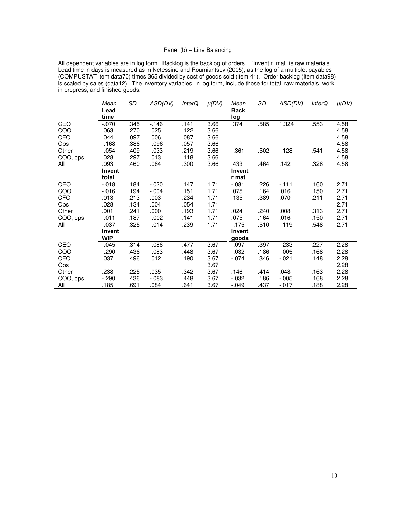### Panel (b) – Line Balancing

All dependent variables are in log form. Backlog is the backlog of orders. "Invent r. mat" is raw materials. Lead time in days is measured as in Netessine and Roumiantsev (2005), as the log of a multiple: payables (COMPUSTAT item data70) times 365 divided by cost of goods sold (item 41). Order backlog (item data98) is scaled by sales (data12). The inventory variables, in log form, include those for total, raw materials, work in progress, and finished goods.

|            | Mean          | SD   | ∆SD(DV)  | <i>InterQ</i> | $\mu(DV)$ | Mean          | SD   | ASD(DV)  | <i>InterQ</i> | $\mu(DV)$ |
|------------|---------------|------|----------|---------------|-----------|---------------|------|----------|---------------|-----------|
|            | Lead          |      |          |               |           | <b>Back</b>   |      |          |               |           |
|            | time          |      |          |               |           | log           |      |          |               |           |
| CEO        | $-0.070$      | .345 | $-146$   | .141          | 3.66      | .374          | .585 | 1.324    | .553          | 4.58      |
| COO        | .063          | .270 | .025     | .122          | 3.66      |               |      |          |               | 4.58      |
| <b>CFO</b> | .044          | .097 | .006     | .087          | 3.66      |               |      |          |               | 4.58      |
| Ops        | $-168$        | .386 | $-0.096$ | .057          | 3.66      |               |      |          |               | 4.58      |
| Other      | $-0.54$       | .409 | $-0.033$ | .219          | 3.66      | $-0.361$      | .502 | $-128$   | .541          | 4.58      |
| COO, ops   | .028          | .297 | .013     | .118          | 3.66      |               |      |          |               | 4.58      |
| All        | .093          | .460 | .064     | .300          | 3.66      | .433          | .464 | .142     | .328          | 4.58      |
|            | <b>Invent</b> |      |          |               |           | <b>Invent</b> |      |          |               |           |
|            | total         |      |          |               |           | r mat         |      |          |               |           |
| CEO        | $-0.018$      | .184 | $-0.020$ | .147          | 1.71      | $-.081$       | .226 | $-111$   | .160          | 2.71      |
| COO        | $-0.016$      | .194 | $-.004$  | .151          | 1.71      | .075          | .164 | .016     | .150          | 2.71      |
| <b>CFO</b> | .013          | .213 | .003     | .234          | 1.71      | .135          | .389 | .070     | .211          | 2.71      |
| Ops        | .028          | .134 | .004     | .054          | 1.71      |               |      |          |               | 2.71      |
| Other      | .001          | .241 | .000     | .193          | 1.71      | .024          | .240 | .008     | .313          | 2.71      |
| COO, ops   | $-011$        | .187 | $-0.002$ | .141          | 1.71      | .075          | .164 | .016     | .150          | 2.71      |
| All        | $-0.037$      | .325 | $-0.14$  | .239          | 1.71      | $-175$        | .510 | $-119$   | .548          | 2.71      |
|            | Invent        |      |          |               |           | <b>Invent</b> |      |          |               |           |
|            | <b>WIP</b>    |      |          |               |           | goods         |      |          |               |           |
| CEO        | $-0.045$      | .314 | $-0.086$ | .477          | 3.67      | $-.097$       | .397 | $-233$   | .227          | 2.28      |
| COO        | $-290$        | .436 | $-0.083$ | .448          | 3.67      | $-0.032$      | .186 | $-0.005$ | .168          | 2.28      |
| <b>CFO</b> | .037          | .496 | .012     | .190          | 3.67      | $-0.074$      | .346 | $-021$   | .148          | 2.28      |
| Ops        |               |      |          |               | 3.67      |               |      |          |               | 2.28      |
| Other      | .238          | .225 | .035     | .342          | 3.67      | .146          | .414 | .048     | .163          | 2.28      |
| COO, ops   | $-290$        | .436 | $-0.083$ | .448          | 3.67      | $-0.032$      | .186 | $-0.005$ | .168          | 2.28      |
| All        | .185          | .691 | .084     | .641          | 3.67      | $-.049$       | .437 | $-017$   | .188          | 2.28      |